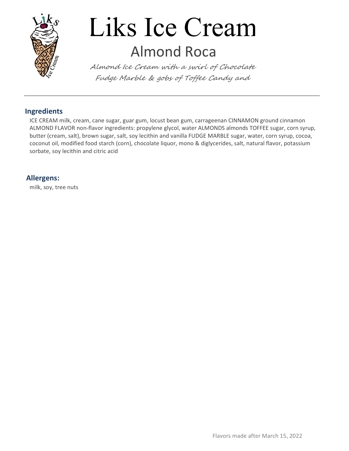

# Liks Ice Cream Almond Roca

Almond Ice Cream with a swirl of Chocolate Fudge Marble & gobs of Toffee Candy and

#### Ingredients

ICE CREAM milk, cream, cane sugar, guar gum, locust bean gum, carrageenan CINNAMON ground cinnamon ALMOND FLAVOR non-flavor ingredients: propylene glycol, water ALMONDS almonds TOFFEE sugar, corn syrup, butter (cream, salt), brown sugar, salt, soy lecithin and vanilla FUDGE MARBLE sugar, water, corn syrup, cocoa, coconut oil, modified food starch (corn), chocolate liquor, mono & diglycerides, salt, natural flavor, potassium sorbate, soy lecithin and citric acid

#### Allergens:

milk, soy, tree nuts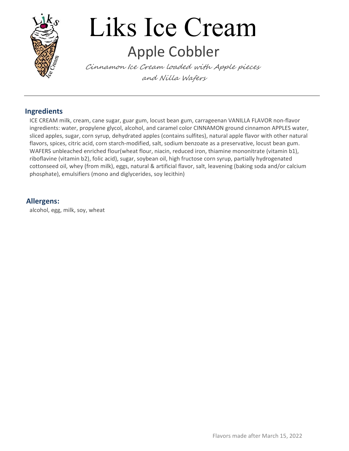

# Liks Ice Cream Apple Cobbler

Cinnamon Ice Cream loaded with Apple pieces and Nilla Wafers

#### Ingredients

ICE CREAM milk, cream, cane sugar, guar gum, locust bean gum, carrageenan VANILLA FLAVOR non-flavor ingredients: water, propylene glycol, alcohol, and caramel color CINNAMON ground cinnamon APPLES water, sliced apples, sugar, corn syrup, dehydrated apples (contains sulfites), natural apple flavor with other natural flavors, spices, citric acid, corn starch-modified, salt, sodium benzoate as a preservative, locust bean gum. WAFERS unbleached enriched flour(wheat flour, niacin, reduced iron, thiamine mononitrate (vitamin b1), riboflavine (vitamin b2), folic acid), sugar, soybean oil, high fructose corn syrup, partially hydrogenated cottonseed oil, whey (from milk), eggs, natural & artificial flavor, salt, leavening (baking soda and/or calcium phosphate), emulsifiers (mono and diglycerides, soy lecithin)

#### Allergens:

alcohol, egg, milk, soy, wheat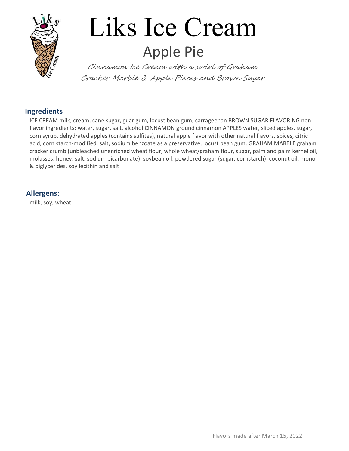

# Liks Ice Cream Apple Pie

Cinnamon Ice Cream with a swirl of Graham Cracker Marble & Apple Pieces and Brown Sugar

#### Ingredients

ICE CREAM milk, cream, cane sugar, guar gum, locust bean gum, carrageenan BROWN SUGAR FLAVORING nonflavor ingredients: water, sugar, salt, alcohol CINNAMON ground cinnamon APPLES water, sliced apples, sugar, corn syrup, dehydrated apples (contains sulfites), natural apple flavor with other natural flavors, spices, citric acid, corn starch-modified, salt, sodium benzoate as a preservative, locust bean gum. GRAHAM MARBLE graham cracker crumb (unbleached unenriched wheat flour, whole wheat/graham flour, sugar, palm and palm kernel oil, molasses, honey, salt, sodium bicarbonate), soybean oil, powdered sugar (sugar, cornstarch), coconut oil, mono & diglycerides, soy lecithin and salt

#### Allergens:

milk, soy, wheat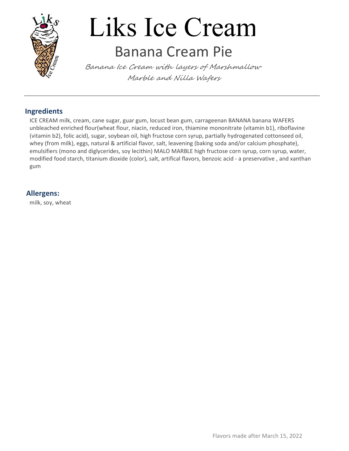

### Liks Ice Cream Banana Cream Pie

Banana Ice Cream with layers of Marshmallow Marble and Nilla Wafers

#### Ingredients

ICE CREAM milk, cream, cane sugar, guar gum, locust bean gum, carrageenan BANANA banana WAFERS unbleached enriched flour(wheat flour, niacin, reduced iron, thiamine mononitrate (vitamin b1), riboflavine (vitamin b2), folic acid), sugar, soybean oil, high fructose corn syrup, partially hydrogenated cottonseed oil, whey (from milk), eggs, natural & artificial flavor, salt, leavening (baking soda and/or calcium phosphate), emulsifiers (mono and diglycerides, soy lecithin) MALO MARBLE high fructose corn syrup, corn syrup, water, modified food starch, titanium dioxide (color), salt, artifical flavors, benzoic acid - a preservative , and xanthan gum and the state of the state of the state of the state of the state of the state of the state of the state o

#### Allergens:

milk, soy, wheat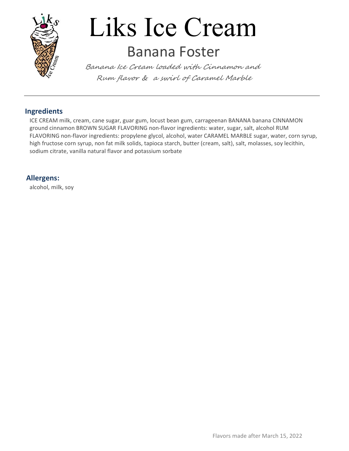

## Liks Ice Cream Banana Foster

Banana Ice Cream loaded with Cinnamon and Rum flavor & a swirl of Caramel Marble

#### Ingredients

ICE CREAM milk, cream, cane sugar, guar gum, locust bean gum, carrageenan BANANA banana CINNAMON ground cinnamon BROWN SUGAR FLAVORING non-flavor ingredients: water, sugar, salt, alcohol RUM FLAVORING non-flavor ingredients: propylene glycol, alcohol, water CARAMEL MARBLE sugar, water, corn syrup, high fructose corn syrup, non fat milk solids, tapioca starch, butter (cream, salt), salt, molasses, soy lecithin, sodium citrate, vanilla natural flavor and potassium sorbate

#### Allergens:

alcohol, milk, soy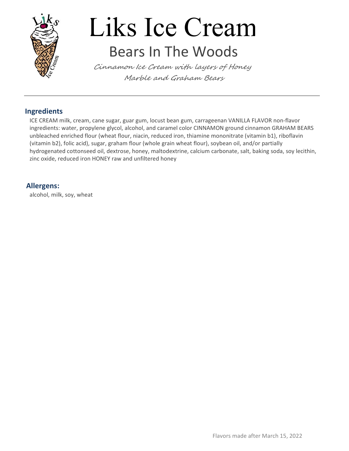

### Liks Ice Cream Bears In The Woods

Cinnamon Ice Cream with layers of Honey Marble and Graham Bears

#### Ingredients

ICE CREAM milk, cream, cane sugar, guar gum, locust bean gum, carrageenan VANILLA FLAVOR non-flavor ingredients: water, propylene glycol, alcohol, and caramel color CINNAMON ground cinnamon GRAHAM BEARS unbleached enriched flour (wheat flour, niacin, reduced iron, thiamine mononitrate (vitamin b1), riboflavin (vitamin b2), folic acid), sugar, graham flour (whole grain wheat flour), soybean oil, and/or partially hydrogenated cottonseed oil, dextrose, honey, maltodextrine, calcium carbonate, salt, baking soda, soy lecithin, zinc oxide, reduced iron HONEY raw and unfiltered honey

#### Allergens:

alcohol, milk, soy, wheat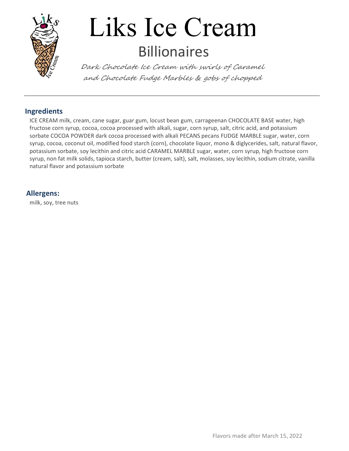

# Liks Ice Cream Billionaires

Dark Chocolate Ice Cream with swirls of Caramel and Chocolate Fudge Marbles & gobs of chopped

#### Ingredients

ICE CREAM milk, cream, cane sugar, guar gum, locust bean gum, carrageenan CHOCOLATE BASE water, high fructose corn syrup, cocoa, cocoa processed with alkali, sugar, corn syrup, salt, citric acid, and potassium sorbate COCOA POWDER dark cocoa processed with alkali PECANS pecans FUDGE MARBLE sugar, water, corn syrup, cocoa, coconut oil, modified food starch (corn), chocolate liquor, mono & diglycerides, salt, natural flavor, potassium sorbate, soy lecithin and citric acid CARAMEL MARBLE sugar, water, corn syrup, high fructose corn syrup, non fat milk solids, tapioca starch, butter (cream, salt), salt, molasses, soy lecithin, sodium citrate, vanilla natural flavor and potassium sorbate

#### Allergens:

milk, soy, tree nuts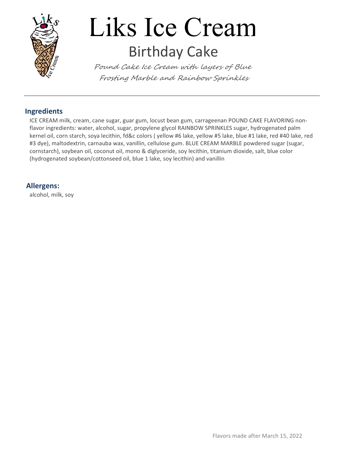

# Liks Ice Cream Birthday Cake

Pound Cake Ice Cream with layers of Blue Frosting Marble and Rainbow Sprinkles

#### Ingredients

ICE CREAM milk, cream, cane sugar, guar gum, locust bean gum, carrageenan POUND CAKE FLAVORING nonflavor ingredients: water, alcohol, sugar, propylene glycol RAINBOW SPRINKLES sugar, hydrogenated palm kernel oil, corn starch, soya lecithin, fd&c colors ( yellow #6 lake, yellow #5 lake, blue #1 lake, red #40 lake, red #3 dye), maltodextrin, carnauba wax, vanillin, cellulose gum. BLUE CREAM MARBLE powdered sugar (sugar, cornstarch), soybean oil, coconut oil, mono & diglyceride, soy lecithin, titanium dioxide, salt, blue color (hydrogenated soybean/cottonseed oil, blue 1 lake, soy lecithin) and vanillin

#### Allergens:

alcohol, milk, soy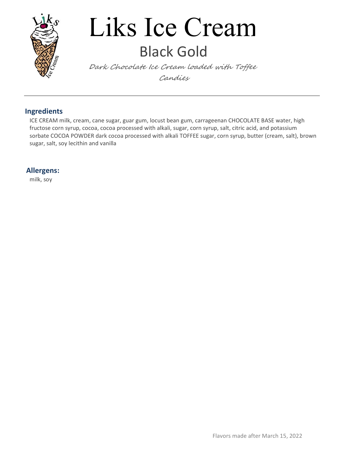

## Liks Ice Cream Black Gold

Dark Chocolate Ice Cream loaded with Toffee Candies

#### Ingredients

ICE CREAM milk, cream, cane sugar, guar gum, locust bean gum, carrageenan CHOCOLATE BASE water, high fructose corn syrup, cocoa, cocoa processed with alkali, sugar, corn syrup, salt, citric acid, and potassium sorbate COCOA POWDER dark cocoa processed with alkali TOFFEE sugar, corn syrup, butter (cream, salt), brown sugar, salt, soy lecithin and vanilla

#### Allergens:

milk, soy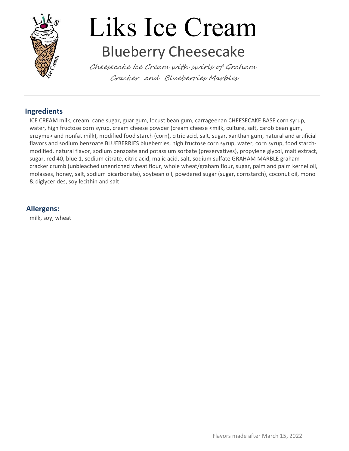

# Liks Ice Cream Blueberry Cheesecake

Cheesecake Ice Cream with swirls of Graham Cracker and Blueberries Marbles

#### Ingredients

ICE CREAM milk, cream, cane sugar, guar gum, locust bean gum, carrageenan CHEESECAKE BASE corn syrup, water, high fructose corn syrup, cream cheese powder (cream cheese <milk, culture, salt, carob bean gum, enzyme> and nonfat milk), modified food starch (corn), citric acid, salt, sugar, xanthan gum, natural and artificial flavors and sodium benzoate BLUEBERRIES blueberries, high fructose corn syrup, water, corn syrup, food starchmodified, natural flavor, sodium benzoate and potassium sorbate (preservatives), propylene glycol, malt extract, sugar, red 40, blue 1, sodium citrate, citric acid, malic acid, salt, sodium sulfate GRAHAM MARBLE graham cracker crumb (unbleached unenriched wheat flour, whole wheat/graham flour, sugar, palm and palm kernel oil, molasses, honey, salt, sodium bicarbonate), soybean oil, powdered sugar (sugar, cornstarch), coconut oil, mono & diglycerides, soy lecithin and salt

#### Allergens:

milk, soy, wheat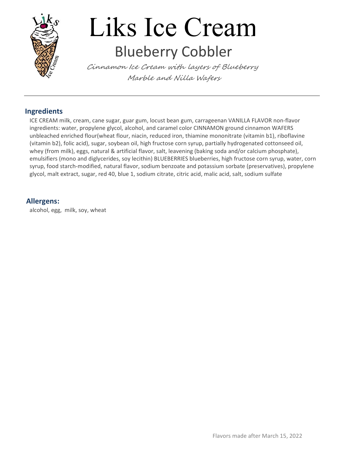

# Liks Ice Cream Blueberry Cobbler

Cinnamon Ice Cream with layers of Blueberry Marble and Nilla Wafers

#### Ingredients

ICE CREAM milk, cream, cane sugar, guar gum, locust bean gum, carrageenan VANILLA FLAVOR non-flavor ingredients: water, propylene glycol, alcohol, and caramel color CINNAMON ground cinnamon WAFERS unbleached enriched flour(wheat flour, niacin, reduced iron, thiamine mononitrate (vitamin b1), riboflavine (vitamin b2), folic acid), sugar, soybean oil, high fructose corn syrup, partially hydrogenated cottonseed oil, whey (from milk), eggs, natural & artificial flavor, salt, leavening (baking soda and/or calcium phosphate), emulsifiers (mono and diglycerides, soy lecithin) BLUEBERRIES blueberries, high fructose corn syrup, water, corn syrup, food starch-modified, natural flavor, sodium benzoate and potassium sorbate (preservatives), propylene glycol, malt extract, sugar, red 40, blue 1, sodium citrate, citric acid, malic acid, salt, sodium sulfate

#### Allergens:

alcohol, egg, milk, soy, wheat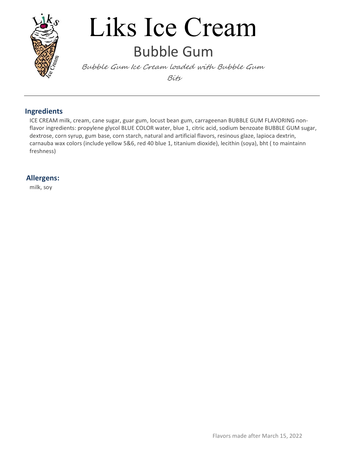

### Liks Ice Cream Bubble Gum

Bubble Gum Ice Cream loaded with Bubble Gum Bits

#### Ingredients

ICE CREAM milk, cream, cane sugar, guar gum, locust bean gum, carrageenan BUBBLE GUM FLAVORING nonflavor ingredients: propylene glycol BLUE COLOR water, blue 1, citric acid, sodium benzoate BUBBLE GUM sugar, dextrose, corn syrup, gum base, corn starch, natural and artificial flavors, resinous glaze, lapioca dextrin, carnauba wax colors (include yellow 5&6, red 40 blue 1, titanium dioxide), lecithin (soya), bht ( to maintainn freshness)

#### Allergens:

milk, soy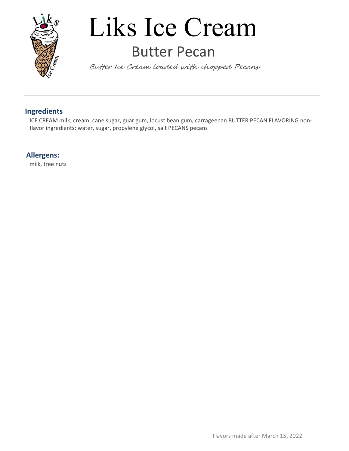

### Liks Ice Cream Butter Pecan

Butter Ice Cream loaded with chopped Pecans

#### Ingredients

ICE CREAM milk, cream, cane sugar, guar gum, locust bean gum, carrageenan BUTTER PECAN FLAVORING nonflavor ingredients: water, sugar, propylene glycol, salt PECANS pecans

#### Allergens:

milk, tree nuts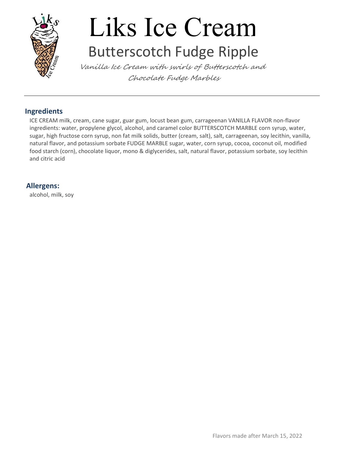

## Liks Ice Cream Butterscotch Fudge Ripple

Vanilla Ice Cream with swirls of Butterscotch and Chocolate Fudge Marbles

#### Ingredients

ICE CREAM milk, cream, cane sugar, guar gum, locust bean gum, carrageenan VANILLA FLAVOR non-flavor ingredients: water, propylene glycol, alcohol, and caramel color BUTTERSCOTCH MARBLE corn syrup, water, sugar, high fructose corn syrup, non fat milk solids, butter (cream, salt), salt, carrageenan, soy lecithin, vanilla, natural flavor, and potassium sorbate FUDGE MARBLE sugar, water, corn syrup, cocoa, coconut oil, modified food starch (corn), chocolate liquor, mono & diglycerides, salt, natural flavor, potassium sorbate, soy lecithin and citric acid

#### Allergens:

alcohol, milk, soy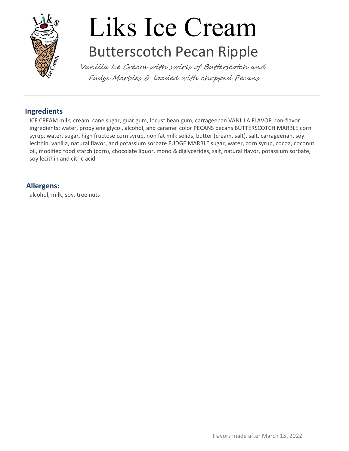

## Liks Ice Cream Butterscotch Pecan Ripple

Vanilla Ice Cream with swirls of Butterscotch and Fudge Marbles & loaded with chopped Pecans

#### Ingredients

ICE CREAM milk, cream, cane sugar, guar gum, locust bean gum, carrageenan VANILLA FLAVOR non-flavor ingredients: water, propylene glycol, alcohol, and caramel color PECANS pecans BUTTERSCOTCH MARBLE corn syrup, water, sugar, high fructose corn syrup, non fat milk solids, butter (cream, salt), salt, carrageenan, soy lecithin, vanilla, natural flavor, and potassium sorbate FUDGE MARBLE sugar, water, corn syrup, cocoa, coconut oil, modified food starch (corn), chocolate liquor, mono & diglycerides, salt, natural flavor, potassium sorbate, soy lecithin and citric acid

#### Allergens:

alcohol, milk, soy, tree nuts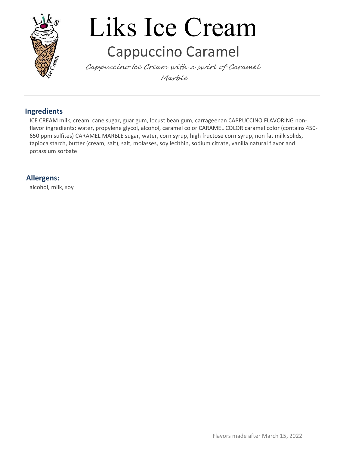

## Liks Ice Cream Cappuccino Caramel

Cappuccino Ice Cream with a swirl of Caramel Marble

#### Ingredients

ICE CREAM milk, cream, cane sugar, guar gum, locust bean gum, carrageenan CAPPUCCINO FLAVORING nonflavor ingredients: water, propylene glycol, alcohol, caramel color CARAMEL COLOR caramel color (contains 450- 650 ppm sulfites) CARAMEL MARBLE sugar, water, corn syrup, high fructose corn syrup, non fat milk solids, tapioca starch, butter (cream, salt), salt, molasses, soy lecithin, sodium citrate, vanilla natural flavor and potassium sorbate

#### Allergens:

alcohol, milk, soy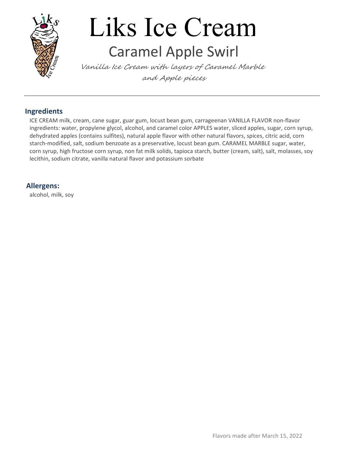

## Liks Ice Cream Caramel Apple Swirl

Vanilla Ice Cream with layers of Caramel Marble and Apple pieces

#### Ingredients

ICE CREAM milk, cream, cane sugar, guar gum, locust bean gum, carrageenan VANILLA FLAVOR non-flavor ingredients: water, propylene glycol, alcohol, and caramel color APPLES water, sliced apples, sugar, corn syrup, dehydrated apples (contains sulfites), natural apple flavor with other natural flavors, spices, citric acid, corn starch-modified, salt, sodium benzoate as a preservative, locust bean gum. CARAMEL MARBLE sugar, water, corn syrup, high fructose corn syrup, non fat milk solids, tapioca starch, butter (cream, salt), salt, molasses, soy lecithin, sodium citrate, vanilla natural flavor and potassium sorbate

#### Allergens:

alcohol, milk, soy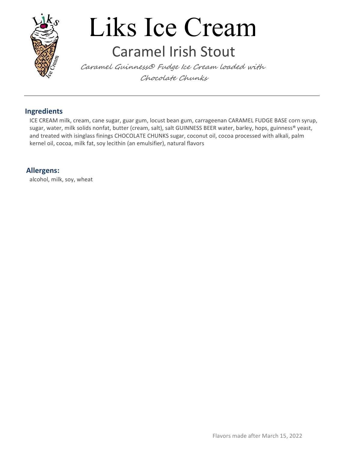

### Liks Ice Cream Caramel Irish Stout

Caramel Guinness® Fudge Ice Cream loaded with Chocolate Chunks

#### Ingredients

ICE CREAM milk, cream, cane sugar, guar gum, locust bean gum, carrageenan CARAMEL FUDGE BASE corn syrup, sugar, water, milk solids nonfat, butter (cream, salt), salt GUINNESS BEER water, barley, hops, guinness® yeast, and treated with isinglass finings CHOCOLATE CHUNKS sugar, coconut oil, cocoa processed with alkali, palm kernel oil, cocoa, milk fat, soy lecithin (an emulsifier), natural flavors

#### Allergens:

alcohol, milk, soy, wheat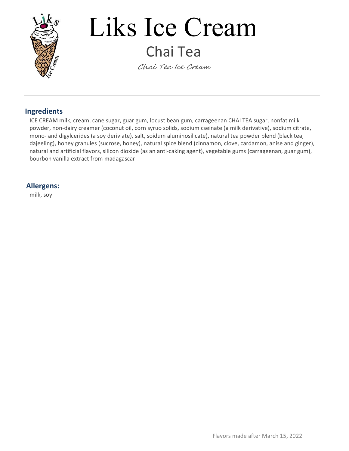

## Liks Ice Cream Chai Tea

Chai Tea Ice Cream

#### Ingredients

ICE CREAM milk, cream, cane sugar, guar gum, locust bean gum, carrageenan CHAI TEA sugar, nonfat milk powder, non-dairy creamer (coconut oil, corn syruo solids, sodium cseinate (a milk derivative), sodium citrate, mono- and digylcerides (a soy deriviate), salt, soidum aluminosilicate), natural tea powder blend (black tea, dajeeling), honey granules (sucrose, honey), natural spice blend (cinnamon, clove, cardamon, anise and ginger), natural and artificial flavors, silicon dioxide (as an anti-caking agent), vegetable gums (carrageenan, guar gum), bourbon vanilla extract from madagascar

#### Allergens:

milk, soy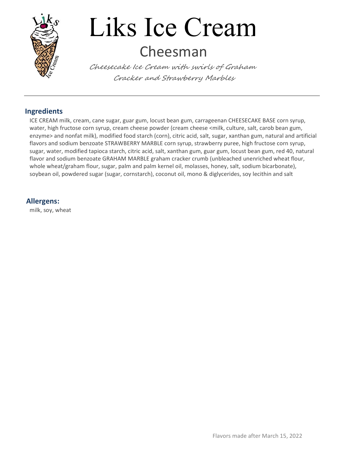

### Liks Ice Cream Cheesman

Cheesecake Ice Cream with swirls of Graham Cracker and Strawberry Marbles

#### Ingredients

ICE CREAM milk, cream, cane sugar, guar gum, locust bean gum, carrageenan CHEESECAKE BASE corn syrup, water, high fructose corn syrup, cream cheese powder (cream cheese <milk, culture, salt, carob bean gum, enzyme> and nonfat milk), modified food starch (corn), citric acid, salt, sugar, xanthan gum, natural and artificial flavors and sodium benzoate STRAWBERRY MARBLE corn syrup, strawberry puree, high fructose corn syrup, sugar, water, modified tapioca starch, citric acid, salt, xanthan gum, guar gum, locust bean gum, red 40, natural flavor and sodium benzoate GRAHAM MARBLE graham cracker crumb (unbleached unenriched wheat flour, whole wheat/graham flour, sugar, palm and palm kernel oil, molasses, honey, salt, sodium bicarbonate), soybean oil, powdered sugar (sugar, cornstarch), coconut oil, mono & diglycerides, soy lecithin and salt

#### Allergens:

milk, soy, wheat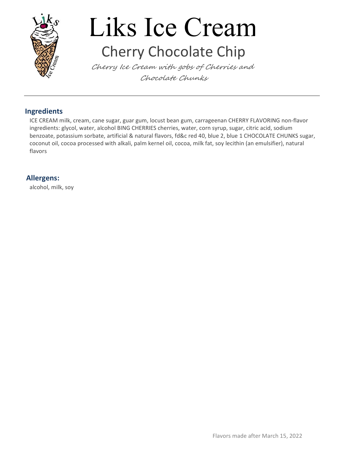

# Liks Ice Cream Cherry Chocolate Chip

Cherry Ice Cream with gobs of Cherries and Chocolate Chunks

#### Ingredients

ICE CREAM milk, cream, cane sugar, guar gum, locust bean gum, carrageenan CHERRY FLAVORING non-flavor ingredients: glycol, water, alcohol BING CHERRIES cherries, water, corn syrup, sugar, citric acid, sodium benzoate, potassium sorbate, artificial & natural flavors, fd&c red 40, blue 2, blue 1 CHOCOLATE CHUNKS sugar, coconut oil, cocoa processed with alkali, palm kernel oil, cocoa, milk fat, soy lecithin (an emulsifier), natural flavors

#### Allergens:

alcohol, milk, soy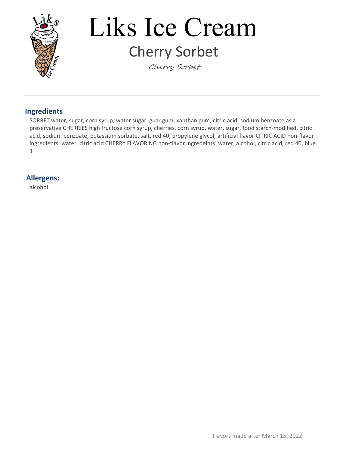

# Liks Ice Cream Cherry Sorbet

Cherry Sorbet

#### Ingredients

SORBET water, sugar, corn syrup, water sugar, guar gum, xanthan gum, citric acid, sodium benzoate as a preservative CHERRIES high fructose corn syrup, cherries, corn syrup, water, sugar, food starch-modified, citric acid, sodium benzoate, potassium sorbate, salt, red 40, propylene glycol, artificial flavor CITRIC ACID non-flavor ingredients: water, citric acid CHERRY FLAVORING non-flavor ingredeints: water, alcohol, citric acid, red 40, blue  $1$ 

#### Allergens:

alcohol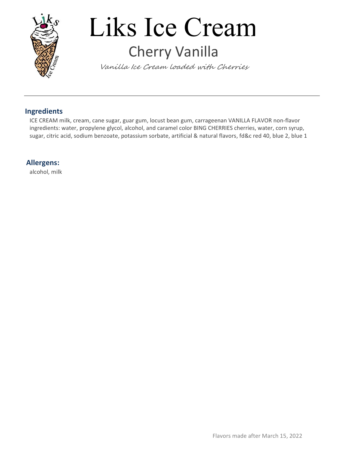

## Liks Ice Cream Cherry Vanilla

Vanilla Ice Cream loaded with Cherries

#### Ingredients

ICE CREAM milk, cream, cane sugar, guar gum, locust bean gum, carrageenan VANILLA FLAVOR non-flavor ingredients: water, propylene glycol, alcohol, and caramel color BING CHERRIES cherries, water, corn syrup, sugar, citric acid, sodium benzoate, potassium sorbate, artificial & natural flavors, fd&c red 40, blue 2, blue 1

#### Allergens:

alcohol, milk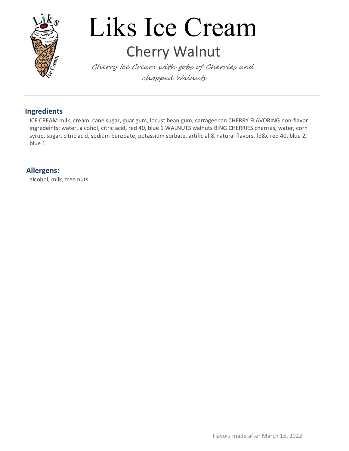

## Liks Ice Cream Cherry Walnut

Cherry Ice Cream with gobs of Cherries and chopped Walnuts

#### Ingredients

ICE CREAM milk, cream, cane sugar, guar gum, locust bean gum, carrageenan CHERRY FLAVORING non-flavor ingredeints: water, alcohol, citric acid, red 40, blue 1 WALNUTS walnuts BING CHERRIES cherries, water, corn syrup, sugar, citric acid, sodium benzoate, potassium sorbate, artificial & natural flavors, fd&c red 40, blue 2, blue 1

#### Allergens:

alcohol, milk, tree nuts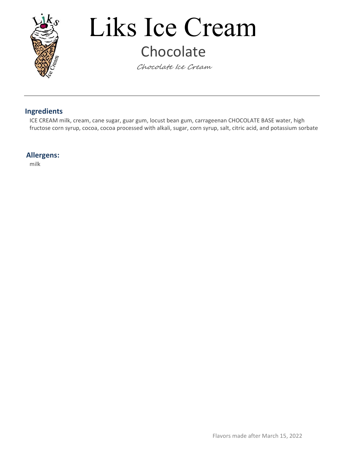

## Liks Ice Cream Chocolate

Chocolate Ice Cream

#### Ingredients

ICE CREAM milk, cream, cane sugar, guar gum, locust bean gum, carrageenan CHOCOLATE BASE water, high fructose corn syrup, cocoa, cocoa processed with alkali, sugar, corn syrup, salt, citric acid, and potassium sorbate

#### Allergens:

milk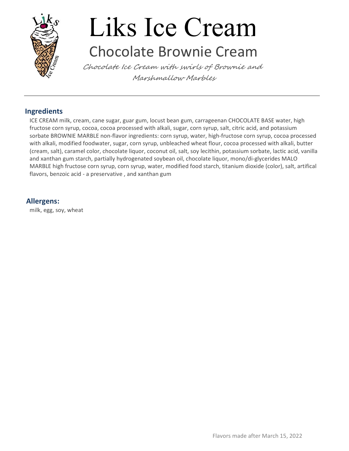

### Liks Ice Cream Chocolate Brownie Cream

Chocolate Ice Cream with swirls of Brownie and Marshmallow Marbles

#### Ingredients

ICE CREAM milk, cream, cane sugar, guar gum, locust bean gum, carrageenan CHOCOLATE BASE water, high fructose corn syrup, cocoa, cocoa processed with alkali, sugar, corn syrup, salt, citric acid, and potassium sorbate BROWNIE MARBLE non-flavor ingredients: corn syrup, water, high-fructose corn syrup, cocoa processed with alkali, modified foodwater, sugar, corn syrup, unbleached wheat flour, cocoa processed with alkali, butter (cream, salt), caramel color, chocolate liquor, coconut oil, salt, soy lecithin, potassium sorbate, lactic acid, vanilla and xanthan gum starch, partially hydrogenated soybean oil, chocolate liquor, mono/di-glycerides MALO MARBLE high fructose corn syrup, corn syrup, water, modified food starch, titanium dioxide (color), salt, artifical flavors, benzoic acid - a preservative , and xanthan gum

#### Allergens:

milk, egg, soy, wheat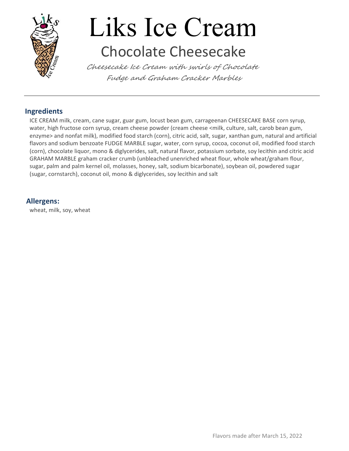

# Liks Ice Cream Chocolate Cheesecake

Cheesecake Ice Cream with swirls of Chocolate Fudge and Graham Cracker Marbles

#### Ingredients

ICE CREAM milk, cream, cane sugar, guar gum, locust bean gum, carrageenan CHEESECAKE BASE corn syrup, water, high fructose corn syrup, cream cheese powder (cream cheese <milk, culture, salt, carob bean gum, enzyme> and nonfat milk), modified food starch (corn), citric acid, salt, sugar, xanthan gum, natural and artificial flavors and sodium benzoate FUDGE MARBLE sugar, water, corn syrup, cocoa, coconut oil, modified food starch (corn), chocolate liquor, mono & diglycerides, salt, natural flavor, potassium sorbate, soy lecithin and citric acid GRAHAM MARBLE graham cracker crumb (unbleached unenriched wheat flour, whole wheat/graham flour, sugar, palm and palm kernel oil, molasses, honey, salt, sodium bicarbonate), soybean oil, powdered sugar (sugar, cornstarch), coconut oil, mono & diglycerides, soy lecithin and salt

#### Allergens:

wheat, milk, soy, wheat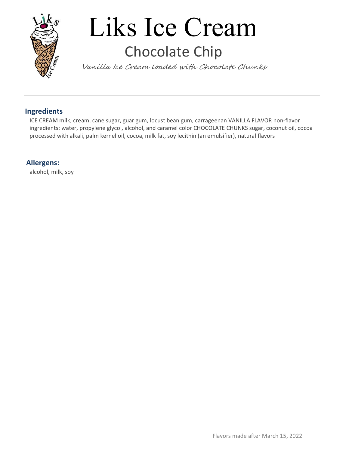

# Liks Ice Cream Chocolate Chip

Vanilla Ice Cream loaded with Chocolate Chunks

#### Ingredients

ICE CREAM milk, cream, cane sugar, guar gum, locust bean gum, carrageenan VANILLA FLAVOR non-flavor ingredients: water, propylene glycol, alcohol, and caramel color CHOCOLATE CHUNKS sugar, coconut oil, cocoa processed with alkali, palm kernel oil, cocoa, milk fat, soy lecithin (an emulsifier), natural flavors

#### Allergens:

alcohol, milk, soy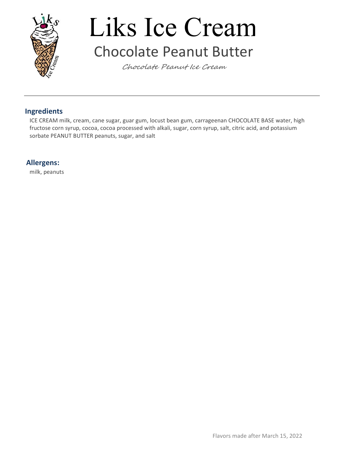

## Liks Ice Cream Chocolate Peanut Butter

Chocolate Peanut Ice Cream

#### Ingredients

ICE CREAM milk, cream, cane sugar, guar gum, locust bean gum, carrageenan CHOCOLATE BASE water, high fructose corn syrup, cocoa, cocoa processed with alkali, sugar, corn syrup, salt, citric acid, and potassium sorbate PEANUT BUTTER peanuts, sugar, and salt

#### Allergens:

milk, peanuts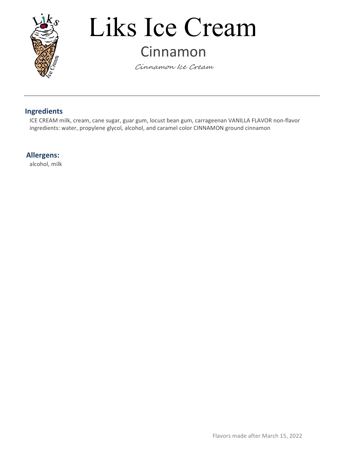

### Liks Ice Cream Cinnamon

Cinnamon Ice Cream

#### Ingredients

ICE CREAM milk, cream, cane sugar, guar gum, locust bean gum, carrageenan VANILLA FLAVOR non-flavor ingredients: water, propylene glycol, alcohol, and caramel color CINNAMON ground cinnamon

#### Allergens:

alcohol, milk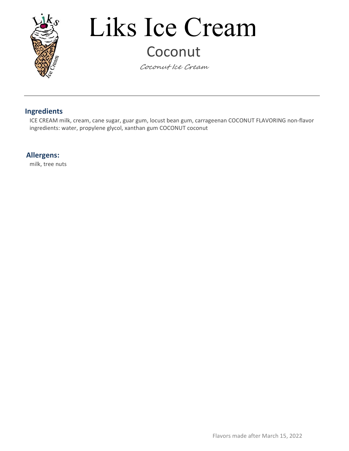

### Liks Ice Cream Coconut

Coconut Ice Cream

#### Ingredients

ICE CREAM milk, cream, cane sugar, guar gum, locust bean gum, carrageenan COCONUT FLAVORING non-flavor ingredients: water, propylene glycol, xanthan gum COCONUT coconut

#### Allergens:

milk, tree nuts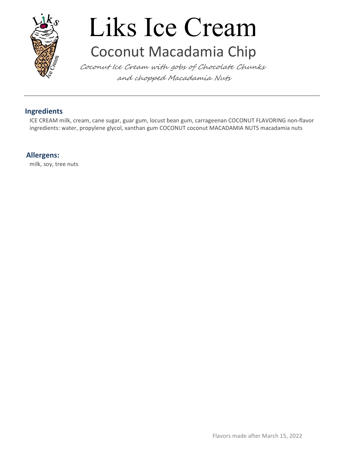

## Liks Ice Cream Coconut Macadamia Chip

Coconut Ice Cream with gobs of Chocolate Chunks and chopped Macadamia Nuts

#### Ingredients

ICE CREAM milk, cream, cane sugar, guar gum, locust bean gum, carrageenan COCONUT FLAVORING non-flavor ingredients: water, propylene glycol, xanthan gum COCONUT coconut MACADAMIA NUTS macadamia nuts

#### Allergens:

milk, soy, tree nuts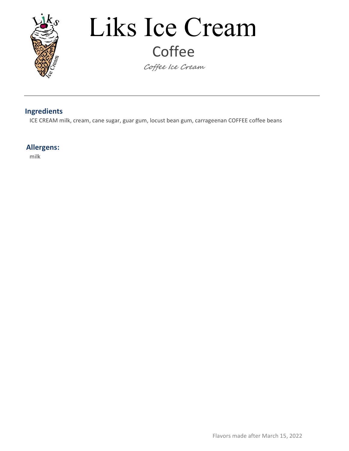

# Liks Ice Cream **Coffee**

Coffee Ice Cream

#### Ingredients

ICE CREAM milk, cream, cane sugar, guar gum, locust bean gum, carrageenan COFFEE coffee beans

#### Allergens:

milk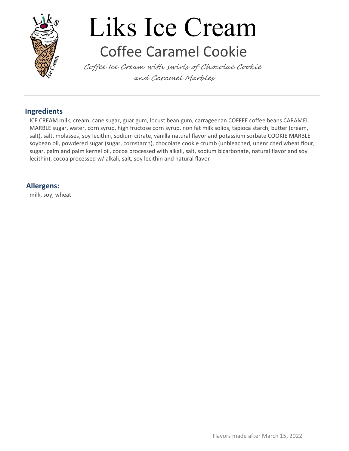

## Liks Ice Cream Coffee Caramel Cookie

Coffee Ice Cream with swirls of Chocolae Cookie and Caramel Marbles

#### Ingredients

ICE CREAM milk, cream, cane sugar, guar gum, locust bean gum, carrageenan COFFEE coffee beans CARAMEL MARBLE sugar, water, corn syrup, high fructose corn syrup, non fat milk solids, tapioca starch, butter (cream, salt), salt, molasses, soy lecithin, sodium citrate, vanilla natural flavor and potassium sorbate COOKIE MARBLE soybean oil, powdered sugar (sugar, cornstarch), chocolate cookie crumb (unbleached, unenriched wheat flour, sugar, palm and palm kernel oil, cocoa processed with alkali, salt, sodium bicarbonate, natural flavor and soy lecithin), cocoa processed w/ alkali, salt, soy lecithin and natural flavor

#### Allergens:

milk, soy, wheat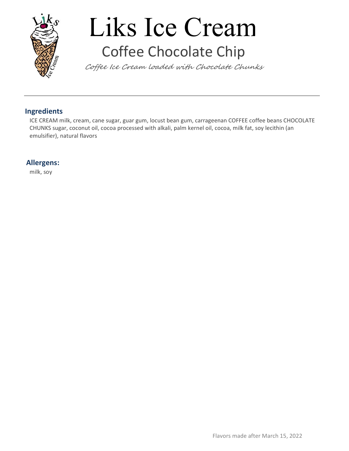

# Liks Ice Cream Coffee Chocolate Chip

Coffee Ice Cream loaded with Chocolate Chunks

#### Ingredients

ICE CREAM milk, cream, cane sugar, guar gum, locust bean gum, carrageenan COFFEE coffee beans CHOCOLATE CHUNKS sugar, coconut oil, cocoa processed with alkali, palm kernel oil, cocoa, milk fat, soy lecithin (an emulsifier), natural flavors

#### Allergens:

milk, soy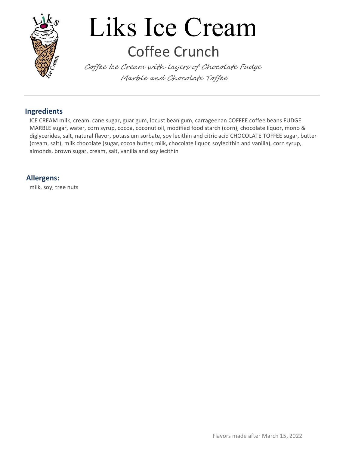

## Liks Ice Cream Coffee Crunch

Coffee Ice Cream with layers of Chocolate Fudge Marble and Chocolate Toffee

#### Ingredients

ICE CREAM milk, cream, cane sugar, guar gum, locust bean gum, carrageenan COFFEE coffee beans FUDGE MARBLE sugar, water, corn syrup, cocoa, coconut oil, modified food starch (corn), chocolate liquor, mono & diglycerides, salt, natural flavor, potassium sorbate, soy lecithin and citric acid CHOCOLATE TOFFEE sugar, butter (cream, salt), milk chocolate (sugar, cocoa butter, milk, chocolate liquor, soylecithin and vanilla), corn syrup, almonds, brown sugar, cream, salt, vanilla and soy lecithin

#### Allergens:

milk, soy, tree nuts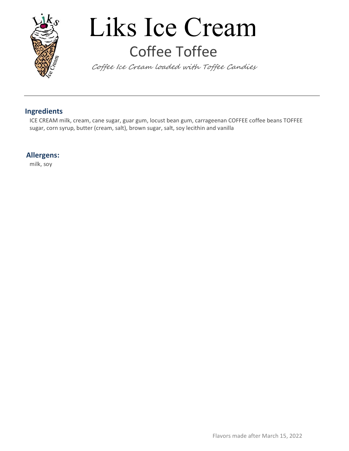

### Liks Ice Cream Coffee Toffee

Coffee Ice Cream loaded with Toffee Candies

#### Ingredients

ICE CREAM milk, cream, cane sugar, guar gum, locust bean gum, carrageenan COFFEE coffee beans TOFFEE sugar, corn syrup, butter (cream, salt), brown sugar, salt, soy lecithin and vanilla

#### Allergens:

milk, soy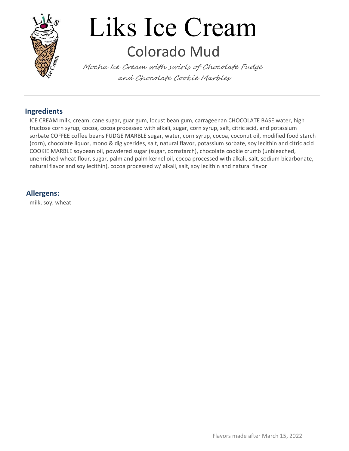

### Liks Ice Cream Colorado Mud

Mocha Ice Cream with swirls of Chocolate Fudge and Chocolate Cookie Marbles

#### Ingredients

ICE CREAM milk, cream, cane sugar, guar gum, locust bean gum, carrageenan CHOCOLATE BASE water, high fructose corn syrup, cocoa, cocoa processed with alkali, sugar, corn syrup, salt, citric acid, and potassium sorbate COFFEE coffee beans FUDGE MARBLE sugar, water, corn syrup, cocoa, coconut oil, modified food starch (corn), chocolate liquor, mono & diglycerides, salt, natural flavor, potassium sorbate, soy lecithin and citric acid COOKIE MARBLE soybean oil, powdered sugar (sugar, cornstarch), chocolate cookie crumb (unbleached, unenriched wheat flour, sugar, palm and palm kernel oil, cocoa processed with alkali, salt, sodium bicarbonate, natural flavor and soy lecithin), cocoa processed w/ alkali, salt, soy lecithin and natural flavor

#### Allergens:

milk, soy, wheat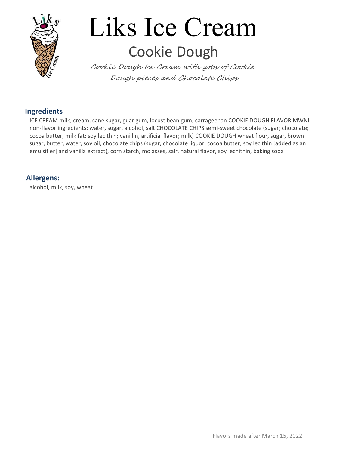

## Liks Ice Cream Cookie Dough

Cookie Dough Ice Cream with gobs of Cookie Dough pieces and Chocolate Chips

#### Ingredients

ICE CREAM milk, cream, cane sugar, guar gum, locust bean gum, carrageenan COOKIE DOUGH FLAVOR MWNI non-flavor ingredients: water, sugar, alcohol, salt CHOCOLATE CHIPS semi-sweet chocolate (sugar; chocolate; cocoa butter; milk fat; soy lecithin; vanillin, artificial flavor; milk) COOKIE DOUGH wheat flour, sugar, brown sugar, butter, water, soy oil, chocolate chips (sugar, chocolate liquor, cocoa butter, soy lecithin [added as an emulsifier] and vanilla extract), corn starch, molasses, salr, natural flavor, soy lechithin, baking soda

#### Allergens:

alcohol, milk, soy, wheat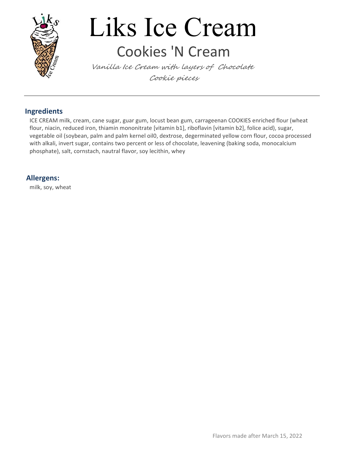

### Liks Ice Cream Cookies 'N Cream

Vanilla Ice Cream with layers of Chocolate Cookie pieces

#### Ingredients

ICE CREAM milk, cream, cane sugar, guar gum, locust bean gum, carrageenan COOKIES enriched flour (wheat flour, niacin, reduced iron, thiamin mononitrate [vitamin b1], riboflavin [vitamin b2], folice acid), sugar, vegetable oil (soybean, palm and palm kernel oil0, dextrose, degerminated yellow corn flour, cocoa processed with alkali, invert sugar, contains two percent or less of chocolate, leavening (baking soda, monocalcium phosphate), salt, cornstach, nautral flavor, soy lecithin, whey

#### Allergens:

milk, soy, wheat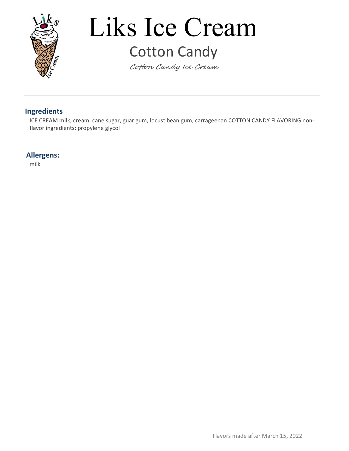

### Liks Ice Cream Cotton Candy

Cotton Candy Ice Cream

#### Ingredients

ICE CREAM milk, cream, cane sugar, guar gum, locust bean gum, carrageenan COTTON CANDY FLAVORING nonflavor ingredients: propylene glycol

#### Allergens: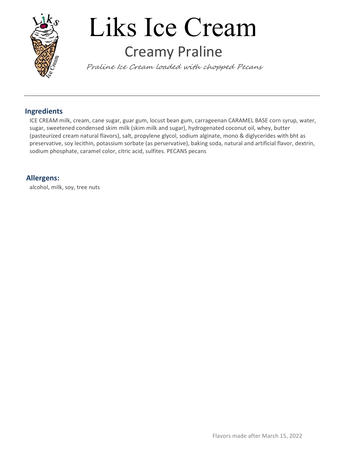

### Liks Ice Cream Creamy Praline

Praline Ice Cream loaded with chopped Pecans

#### Ingredients

ICE CREAM milk, cream, cane sugar, guar gum, locust bean gum, carrageenan CARAMEL BASE corn syrup, water, sugar, sweetened condensed skim milk (skim milk and sugar), hydrogenated coconut oil, whey, butter (pasteurized cream natural flavors), salt, propylene glycol, sodium alginate, mono & diglycerides with bht as preservative, soy lecithin, potassium sorbate (as perservative), baking soda, natural and artificial flavor, dextrin, sodium phosphate, caramel color, citric acid, sulfites. PECANS pecans

#### Allergens:

alcohol, milk, soy, tree nuts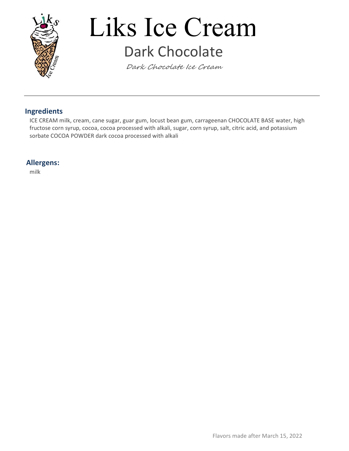

### Liks Ice Cream Dark Chocolate

Dark Chocolate Ice Cream

#### Ingredients

ICE CREAM milk, cream, cane sugar, guar gum, locust bean gum, carrageenan CHOCOLATE BASE water, high fructose corn syrup, cocoa, cocoa processed with alkali, sugar, corn syrup, salt, citric acid, and potassium sorbate COCOA POWDER dark cocoa processed with alkali

#### Allergens: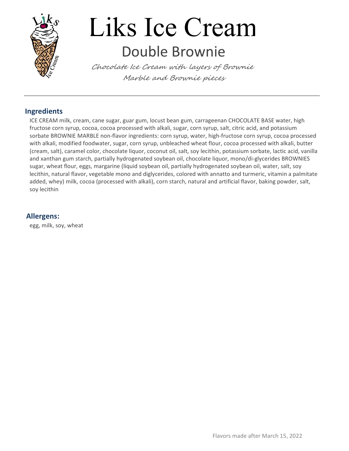

### Liks Ice Cream Double Brownie

Chocolate Ice Cream with layers of Brownie Marble and Brownie pieces

#### Ingredients

ICE CREAM milk, cream, cane sugar, guar gum, locust bean gum, carrageenan CHOCOLATE BASE water, high fructose corn syrup, cocoa, cocoa processed with alkali, sugar, corn syrup, salt, citric acid, and potassium sorbate BROWNIE MARBLE non-flavor ingredients: corn syrup, water, high-fructose corn syrup, cocoa processed with alkali, modified foodwater, sugar, corn syrup, unbleached wheat flour, cocoa processed with alkali, butter (cream, salt), caramel color, chocolate liquor, coconut oil, salt, soy lecithin, potassium sorbate, lactic acid, vanilla and xanthan gum starch, partially hydrogenated soybean oil, chocolate liquor, mono/di-glycerides BROWNIES sugar, wheat flour, eggs, margarine (liquid soybean oil, partially hydrogenated soybean oil, water, salt, soy lecithin, natural flavor, vegetable mono and diglycerides, colored with annatto and turmeric, vitamin a palmitate added, whey) milk, cocoa (processed with alkali), corn starch, natural and artificial flavor, baking powder, salt, soy lecithin

#### Allergens:

egg, milk, soy, wheat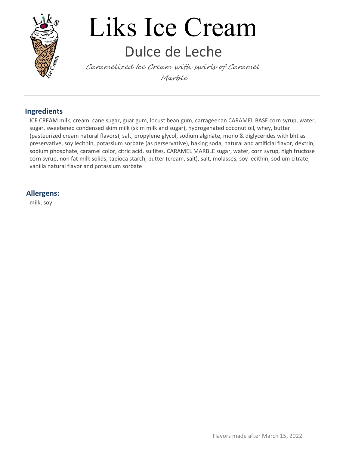

### Liks Ice Cream Dulce de Leche

Caramelized Ice Cream with swirls of Caramel Marble

#### Ingredients

ICE CREAM milk, cream, cane sugar, guar gum, locust bean gum, carrageenan CARAMEL BASE corn syrup, water, sugar, sweetened condensed skim milk (skim milk and sugar), hydrogenated coconut oil, whey, butter (pasteurized cream natural flavors), salt, propylene glycol, sodium alginate, mono & diglycerides with bht as preservative, soy lecithin, potassium sorbate (as perservative), baking soda, natural and artificial flavor, dextrin, sodium phosphate, caramel color, citric acid, sulfites. CARAMEL MARBLE sugar, water, corn syrup, high fructose corn syrup, non fat milk solids, tapioca starch, butter (cream, salt), salt, molasses, soy lecithin, sodium citrate, vanilla natural flavor and potassium sorbate

#### Allergens:

milk, soy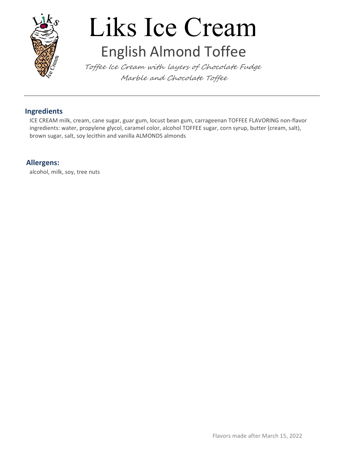

### Liks Ice Cream English Almond Toffee

Toffee Ice Cream with layers of Chocolate Fudge Marble and Chocolate Toffee

#### Ingredients

ICE CREAM milk, cream, cane sugar, guar gum, locust bean gum, carrageenan TOFFEE FLAVORING non-flavor ingredients: water, propylene glycol, caramel color, alcohol TOFFEE sugar, corn syrup, butter (cream, salt), brown sugar, salt, soy lecithin and vanilla ALMONDS almonds

#### Allergens:

alcohol, milk, soy, tree nuts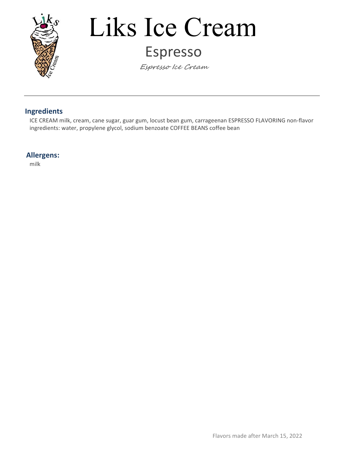

### Liks Ice Cream Espresso

Espresso Ice Cream

#### Ingredients

ICE CREAM milk, cream, cane sugar, guar gum, locust bean gum, carrageenan ESPRESSO FLAVORING non-flavor ingredients: water, propylene glycol, sodium benzoate COFFEE BEANS coffee bean

#### Allergens: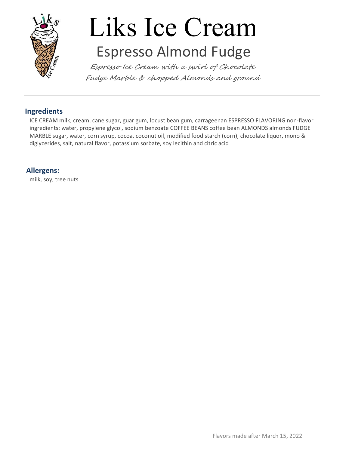

### Liks Ice Cream Espresso Almond Fudge

Espresso Ice Cream with a swirl of Chocolate Fudge Marble & chopped Almonds and ground

#### Ingredients

ICE CREAM milk, cream, cane sugar, guar gum, locust bean gum, carrageenan ESPRESSO FLAVORING non-flavor ingredients: water, propylene glycol, sodium benzoate COFFEE BEANS coffee bean ALMONDS almonds FUDGE MARBLE sugar, water, corn syrup, cocoa, coconut oil, modified food starch (corn), chocolate liquor, mono & diglycerides, salt, natural flavor, potassium sorbate, soy lecithin and citric acid

#### Allergens:

milk, soy, tree nuts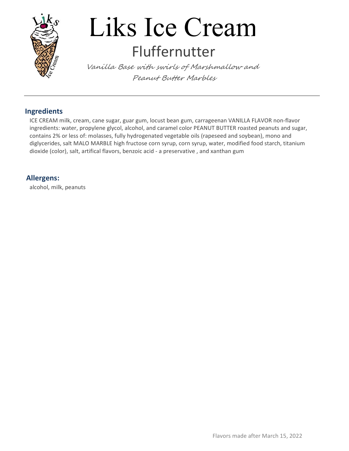

### Liks Ice Cream Fluffernutter

Vanilla Base with swirls of Marshmallow and Peanut Butter Marbles

#### Ingredients

ICE CREAM milk, cream, cane sugar, guar gum, locust bean gum, carrageenan VANILLA FLAVOR non-flavor ingredients: water, propylene glycol, alcohol, and caramel color PEANUT BUTTER roasted peanuts and sugar, contains 2% or less of: molasses, fully hydrogenated vegetable oils (rapeseed and soybean), mono and diglycerides, salt MALO MARBLE high fructose corn syrup, corn syrup, water, modified food starch, titanium dioxide (color), salt, artifical flavors, benzoic acid - a preservative , and xanthan gum

#### Allergens:

alcohol, milk, peanuts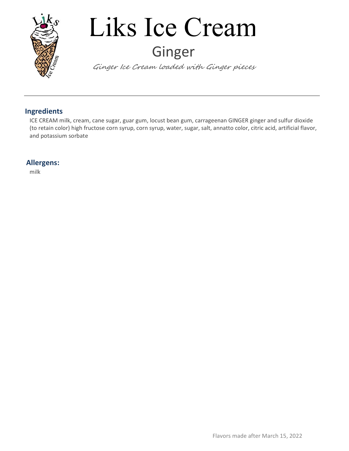

## Liks Ice Cream Ginger

Ginger Ice Cream loaded with Ginger pieces

#### Ingredients

ICE CREAM milk, cream, cane sugar, guar gum, locust bean gum, carrageenan GINGER ginger and sulfur dioxide (to retain color) high fructose corn syrup, corn syrup, water, sugar, salt, annatto color, citric acid, artificial flavor, and potassium sorbate

#### Allergens: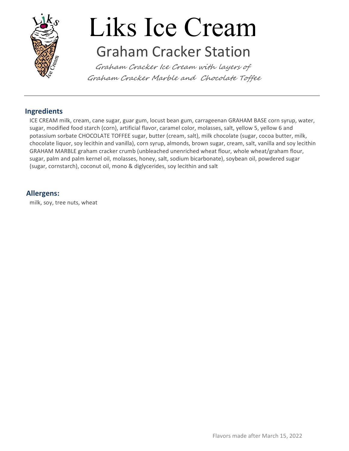

### Liks Ice Cream Graham Cracker Station

Graham Cracker Ice Cream with layers of Graham Cracker Marble and Chocolate Toffee

#### Ingredients

ICE CREAM milk, cream, cane sugar, guar gum, locust bean gum, carrageenan GRAHAM BASE corn syrup, water, sugar, modified food starch (corn), artificial flavor, caramel color, molasses, salt, yellow 5, yellow 6 and potassium sorbate CHOCOLATE TOFFEE sugar, butter (cream, salt), milk chocolate (sugar, cocoa butter, milk, chocolate liquor, soy lecithin and vanilla), corn syrup, almonds, brown sugar, cream, salt, vanilla and soy lecithin GRAHAM MARBLE graham cracker crumb (unbleached unenriched wheat flour, whole wheat/graham flour, sugar, palm and palm kernel oil, molasses, honey, salt, sodium bicarbonate), soybean oil, powdered sugar (sugar, cornstarch), coconut oil, mono & diglycerides, soy lecithin and salt

#### Allergens:

milk, soy, tree nuts, wheat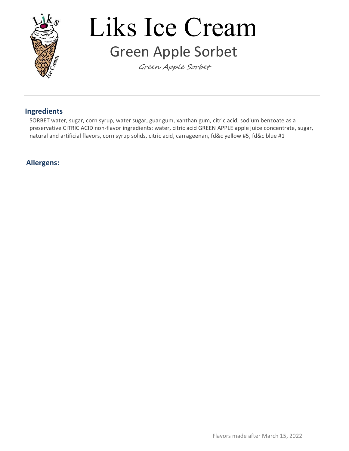

### Liks Ice Cream Green Apple Sorbet

Green Apple Sorbet

#### Ingredients

SORBET water, sugar, corn syrup, water sugar, guar gum, xanthan gum, citric acid, sodium benzoate as a preservative CITRIC ACID non-flavor ingredients: water, citric acid GREEN APPLE apple juice concentrate, sugar, natural and artificial flavors, corn syrup solids, citric acid, carrageenan, fd&c yellow #5, fd&c blue #1

#### Allergens: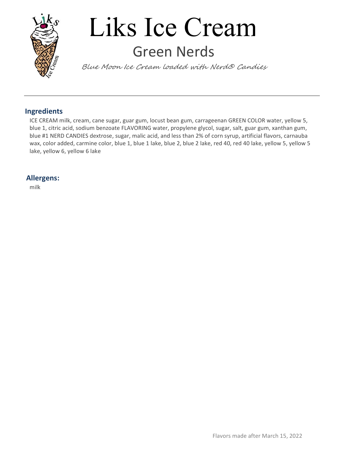

### Liks Ice Cream Green Nerds

Blue Moon Ice Cream loaded with Nerd® Candies

#### Ingredients

ICE CREAM milk, cream, cane sugar, guar gum, locust bean gum, carrageenan GREEN COLOR water, yellow 5, blue 1, citric acid, sodium benzoate FLAVORING water, propylene glycol, sugar, salt, guar gum, xanthan gum, blue #1 NERD CANDIES dextrose, sugar, malic acid, and less than 2% of corn syrup, artificial flavors, carnauba wax, color added, carmine color, blue 1, blue 1 lake, blue 2, blue 2 lake, red 40, red 40 lake, yellow 5, yellow 5 lake, yellow 6, yellow 6 lake

#### Allergens: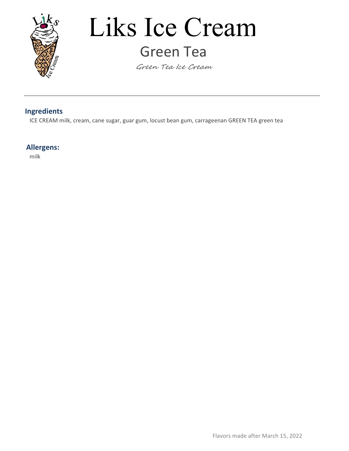

### Liks Ice Cream Green Tea

Green Tea Ice Cream

#### Ingredients

ICE CREAM milk, cream, cane sugar, guar gum, locust bean gum, carrageenan GREEN TEA green tea

#### Allergens: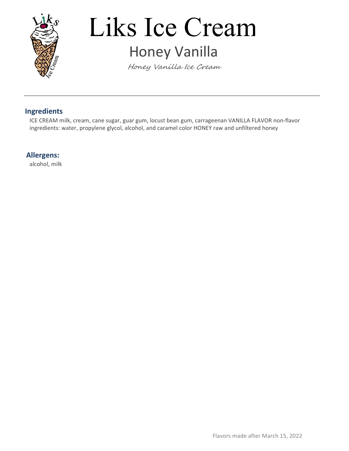

### Liks Ice Cream Honey Vanilla

Honey Vanilla Ice Cream

#### Ingredients

ICE CREAM milk, cream, cane sugar, guar gum, locust bean gum, carrageenan VANILLA FLAVOR non-flavor ingredients: water, propylene glycol, alcohol, and caramel color HONEY raw and unfiltered honey

#### Allergens:

alcohol, milk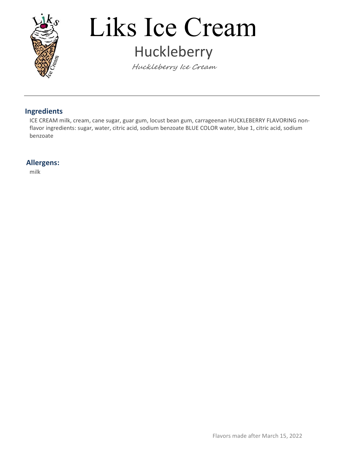

### Liks Ice Cream Huckleberry

Huckleberry Ice Cream

#### Ingredients

ICE CREAM milk, cream, cane sugar, guar gum, locust bean gum, carrageenan HUCKLEBERRY FLAVORING nonflavor ingredients: sugar, water, citric acid, sodium benzoate BLUE COLOR water, blue 1, citric acid, sodium benzoate

#### Allergens: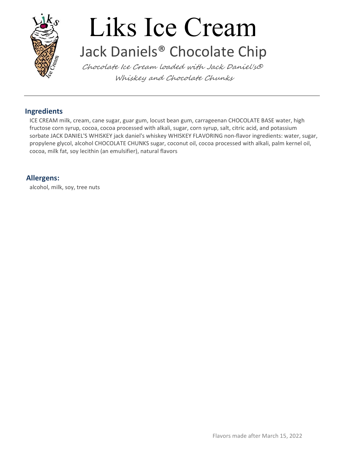

### Liks Ice Cream Jack Daniels® Chocolate Chip

Chocolate Ice Cream loaded with Jack Daniel's® Whiskey and Chocolate Chunks

#### Ingredients

ICE CREAM milk, cream, cane sugar, guar gum, locust bean gum, carrageenan CHOCOLATE BASE water, high fructose corn syrup, cocoa, cocoa processed with alkali, sugar, corn syrup, salt, citric acid, and potassium sorbate JACK DANIEL'S WHISKEY jack daniel's whiskey WHISKEY FLAVORING non-flavor ingredients: water, sugar, propylene glycol, alcohol CHOCOLATE CHUNKS sugar, coconut oil, cocoa processed with alkali, palm kernel oil, cocoa, milk fat, soy lecithin (an emulsifier), natural flavors

#### Allergens:

alcohol, milk, soy, tree nuts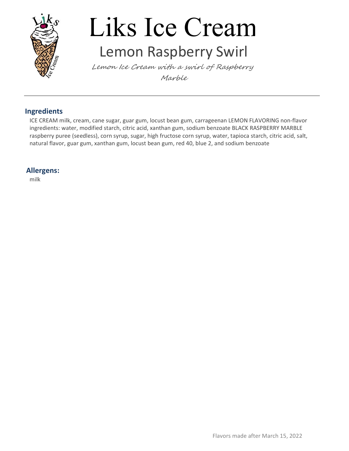

### Liks Ice Cream Lemon Raspberry Swirl

Lemon Ice Cream with a swirl of Raspberry Marble

#### Ingredients

ICE CREAM milk, cream, cane sugar, guar gum, locust bean gum, carrageenan LEMON FLAVORING non-flavor ingredients: water, modified starch, citric acid, xanthan gum, sodium benzoate BLACK RASPBERRY MARBLE raspberry puree (seedless), corn syrup, sugar, high fructose corn syrup, water, tapioca starch, citric acid, salt, natural flavor, guar gum, xanthan gum, locust bean gum, red 40, blue 2, and sodium benzoate

#### Allergens: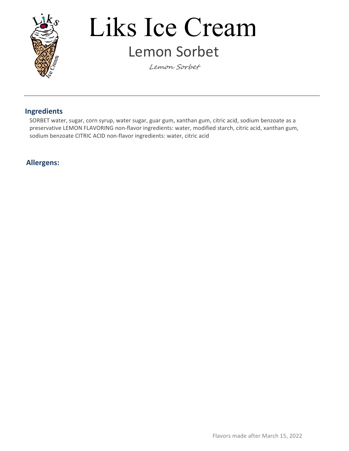

### Liks Ice Cream Lemon Sorbet

Lemon Sorbet

#### Ingredients

SORBET water, sugar, corn syrup, water sugar, guar gum, xanthan gum, citric acid, sodium benzoate as a preservative LEMON FLAVORING non-flavor ingredients: water, modified starch, citric acid, xanthan gum, sodium benzoate CITRIC ACID non-flavor ingredients: water, citric acid

#### Allergens: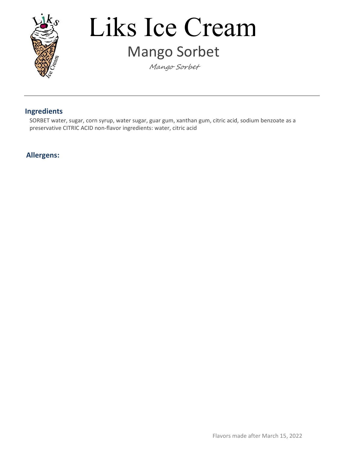

### Liks Ice Cream Mango Sorbet

Mango Sorbet

#### Ingredients

SORBET water, sugar, corn syrup, water sugar, guar gum, xanthan gum, citric acid, sodium benzoate as a preservative CITRIC ACID non-flavor ingredients: water, citric acid

#### Allergens: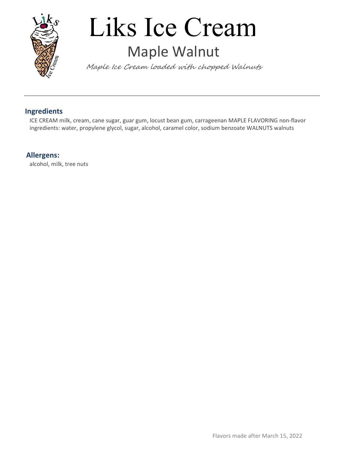

### Liks Ice Cream Maple Walnut

Maple Ice Cream loaded with chopped Walnuts

#### Ingredients

ICE CREAM milk, cream, cane sugar, guar gum, locust bean gum, carrageenan MAPLE FLAVORING non-flavor ingredients: water, propylene glycol, sugar, alcohol, caramel color, sodium benzoate WALNUTS walnuts

#### Allergens:

alcohol, milk, tree nuts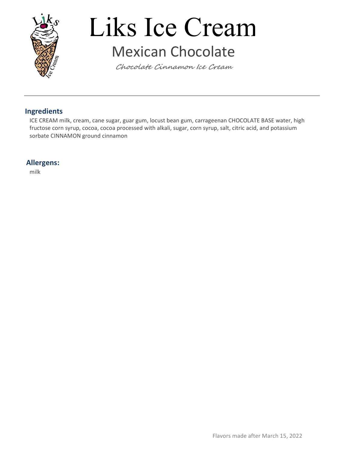

### Liks Ice Cream Mexican Chocolate

Chocolate Cinnamon Ice Cream

#### Ingredients

ICE CREAM milk, cream, cane sugar, guar gum, locust bean gum, carrageenan CHOCOLATE BASE water, high fructose corn syrup, cocoa, cocoa processed with alkali, sugar, corn syrup, salt, citric acid, and potassium sorbate CINNAMON ground cinnamon

#### Allergens: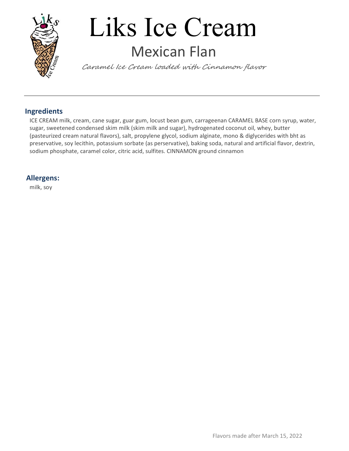

### Liks Ice Cream Mexican Flan

Caramel Ice Cream loaded with Cinnamon flavor

#### Ingredients

ICE CREAM milk, cream, cane sugar, guar gum, locust bean gum, carrageenan CARAMEL BASE corn syrup, water, sugar, sweetened condensed skim milk (skim milk and sugar), hydrogenated coconut oil, whey, butter (pasteurized cream natural flavors), salt, propylene glycol, sodium alginate, mono & diglycerides with bht as preservative, soy lecithin, potassium sorbate (as perservative), baking soda, natural and artificial flavor, dextrin, sodium phosphate, caramel color, citric acid, sulfites. CINNAMON ground cinnamon

#### Allergens:

milk, soy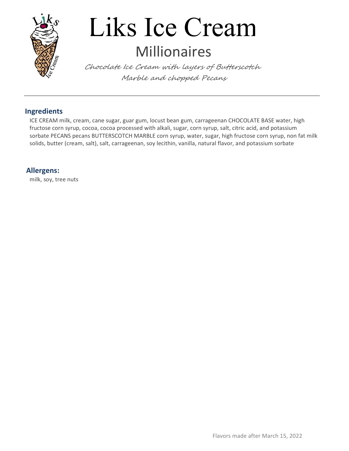

### Liks Ice Cream Millionaires

Chocolate Ice Cream with layers of Butterscotch Marble and chopped Pecans

#### Ingredients

ICE CREAM milk, cream, cane sugar, guar gum, locust bean gum, carrageenan CHOCOLATE BASE water, high fructose corn syrup, cocoa, cocoa processed with alkali, sugar, corn syrup, salt, citric acid, and potassium sorbate PECANS pecans BUTTERSCOTCH MARBLE corn syrup, water, sugar, high fructose corn syrup, non fat milk solids, butter (cream, salt), salt, carrageenan, soy lecithin, vanilla, natural flavor, and potassium sorbate

#### Allergens:

milk, soy, tree nuts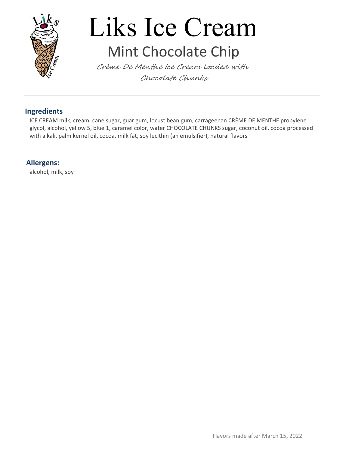

### Liks Ice Cream Mint Chocolate Chip

Crème De Menthe Ice Cream loaded with Chocolate Chunks

#### Ingredients

ICE CREAM milk, cream, cane sugar, guar gum, locust bean gum, carrageenan CRÈME DE MENTHE propylene glycol, alcohol, yellow 5, blue 1, caramel color, water CHOCOLATE CHUNKS sugar, coconut oil, cocoa processed with alkali, palm kernel oil, cocoa, milk fat, soy lecithin (an emulsifier), natural flavors

#### Allergens:

alcohol, milk, soy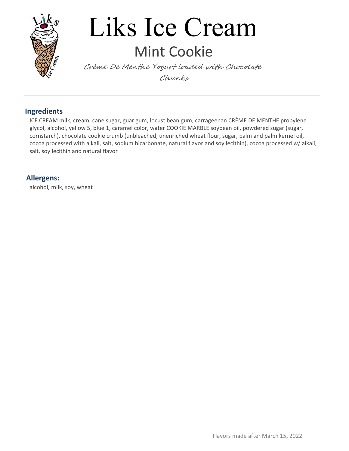

### Liks Ice Cream Mint Cookie

Crème De Menthe Yogurt loaded with Chocolate Chunks

#### Ingredients

ICE CREAM milk, cream, cane sugar, guar gum, locust bean gum, carrageenan CRÈME DE MENTHE propylene glycol, alcohol, yellow 5, blue 1, caramel color, water COOKIE MARBLE soybean oil, powdered sugar (sugar, cornstarch), chocolate cookie crumb (unbleached, unenriched wheat flour, sugar, palm and palm kernel oil, cocoa processed with alkali, salt, sodium bicarbonate, natural flavor and soy lecithin), cocoa processed w/ alkali, salt, soy lecithin and natural flavor

#### Allergens:

alcohol, milk, soy, wheat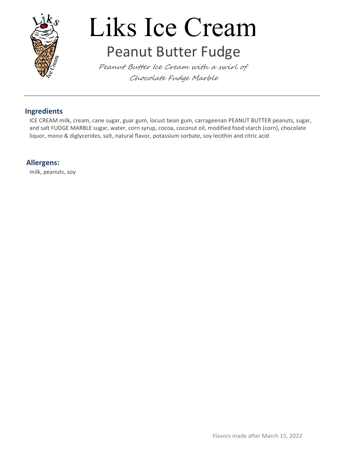

# Liks Ice Cream

### Peanut Butter Fudge

Peanut Butter Ice Cream with a swirl of Chocolate Fudge Marble

#### Ingredients

ICE CREAM milk, cream, cane sugar, guar gum, locust bean gum, carrageenan PEANUT BUTTER peanuts, sugar, and salt FUDGE MARBLE sugar, water, corn syrup, cocoa, coconut oil, modified food starch (corn), chocolate liquor, mono & diglycerides, salt, natural flavor, potassium sorbate, soy lecithin and citric acid

#### Allergens:

milk, peanuts, soy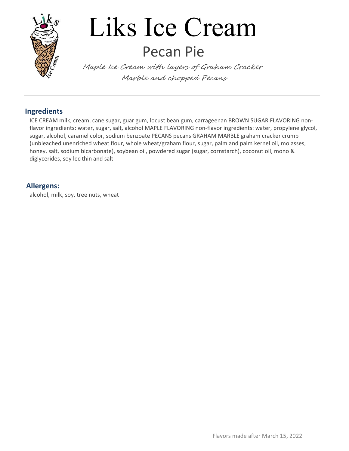

### Liks Ice Cream Pecan Pie

Maple Ice Cream with layers of Graham Cracker Marble and chopped Pecans

#### Ingredients

ICE CREAM milk, cream, cane sugar, guar gum, locust bean gum, carrageenan BROWN SUGAR FLAVORING nonflavor ingredients: water, sugar, salt, alcohol MAPLE FLAVORING non-flavor ingredients: water, propylene glycol, sugar, alcohol, caramel color, sodium benzoate PECANS pecans GRAHAM MARBLE graham cracker crumb (unbleached unenriched wheat flour, whole wheat/graham flour, sugar, palm and palm kernel oil, molasses, honey, salt, sodium bicarbonate), soybean oil, powdered sugar (sugar, cornstarch), coconut oil, mono & diglycerides, soy lecithin and salt

#### Allergens:

alcohol, milk, soy, tree nuts, wheat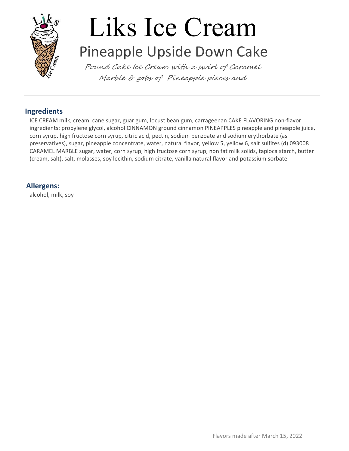

### Liks Ice Cream Pineapple Upside Down Cake

Pound Cake Ice Cream with a swirl of Caramel Marble & gobs of Pineapple pieces and

#### Ingredients

ICE CREAM milk, cream, cane sugar, guar gum, locust bean gum, carrageenan CAKE FLAVORING non-flavor ingredients: propylene glycol, alcohol CINNAMON ground cinnamon PINEAPPLES pineapple and pineapple juice, corn syrup, high fructose corn syrup, citric acid, pectin, sodium benzoate and sodium erythorbate (as preservatives), sugar, pineapple concentrate, water, natural flavor, yellow 5, yellow 6, salt sulfites (d) 093008 CARAMEL MARBLE sugar, water, corn syrup, high fructose corn syrup, non fat milk solids, tapioca starch, butter (cream, salt), salt, molasses, soy lecithin, sodium citrate, vanilla natural flavor and potassium sorbate

#### Allergens:

alcohol, milk, soy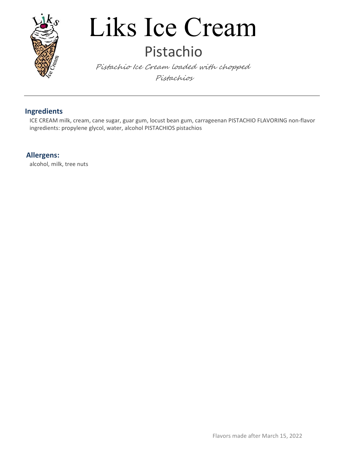

### Liks Ice Cream Pistachio

Pistachio Ice Cream loaded with chopped Pistachios

#### Ingredients

ICE CREAM milk, cream, cane sugar, guar gum, locust bean gum, carrageenan PISTACHIO FLAVORING non-flavor ingredients: propylene glycol, water, alcohol PISTACHIOS pistachios

#### Allergens:

alcohol, milk, tree nuts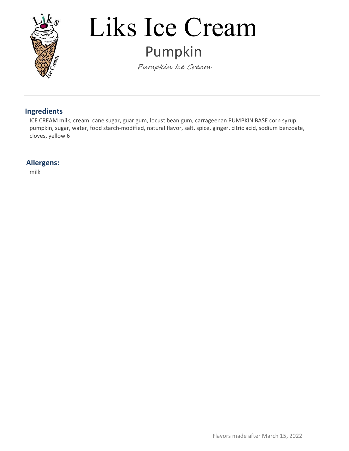

## Liks Ice Cream Pumpkin

Pumpkin Ice Cream

#### Ingredients

ICE CREAM milk, cream, cane sugar, guar gum, locust bean gum, carrageenan PUMPKIN BASE corn syrup, pumpkin, sugar, water, food starch-modified, natural flavor, salt, spice, ginger, citric acid, sodium benzoate, cloves, yellow 6

#### Allergens: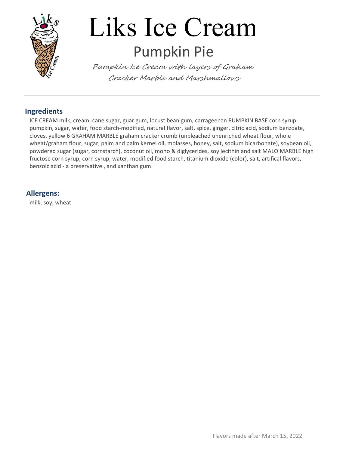

### Liks Ice Cream Pumpkin Pie

Pumpkin Ice Cream with layers of Graham Cracker Marble and Marshmallows

#### Ingredients

ICE CREAM milk, cream, cane sugar, guar gum, locust bean gum, carrageenan PUMPKIN BASE corn syrup, pumpkin, sugar, water, food starch-modified, natural flavor, salt, spice, ginger, citric acid, sodium benzoate, cloves, yellow 6 GRAHAM MARBLE graham cracker crumb (unbleached unenriched wheat flour, whole wheat/graham flour, sugar, palm and palm kernel oil, molasses, honey, salt, sodium bicarbonate), soybean oil, powdered sugar (sugar, cornstarch), coconut oil, mono & diglycerides, soy lecithin and salt MALO MARBLE high fructose corn syrup, corn syrup, water, modified food starch, titanium dioxide (color), salt, artifical flavors, benzoic acid - a preservative , and xanthan gum

#### Allergens:

milk, soy, wheat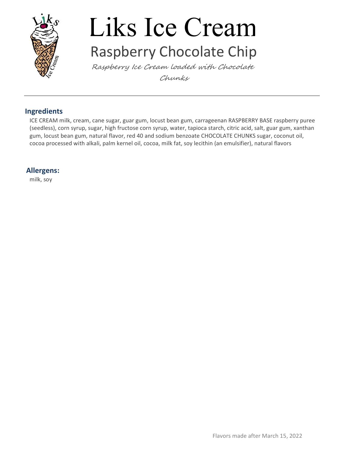

### Liks Ice Cream Raspberry Chocolate Chip

Raspberry Ice Cream loaded with Chocolate Chunks

#### Ingredients

ICE CREAM milk, cream, cane sugar, guar gum, locust bean gum, carrageenan RASPBERRY BASE raspberry puree (seedless), corn syrup, sugar, high fructose corn syrup, water, tapioca starch, citric acid, salt, guar gum, xanthan gum, locust bean gum, natural flavor, red 40 and sodium benzoate CHOCOLATE CHUNKS sugar, coconut oil, cocoa processed with alkali, palm kernel oil, cocoa, milk fat, soy lecithin (an emulsifier), natural flavors

#### Allergens:

milk, soy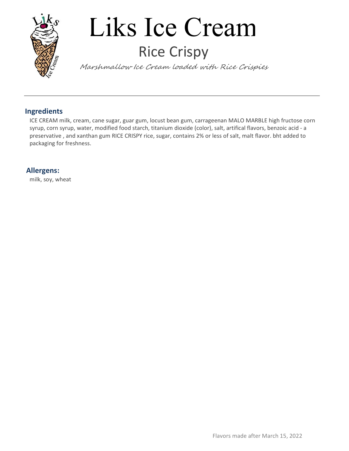

### Liks Ice Cream Rice Crispy

Marshmallow Ice Cream loaded with Rice Crispies

#### Ingredients

ICE CREAM milk, cream, cane sugar, guar gum, locust bean gum, carrageenan MALO MARBLE high fructose corn syrup, corn syrup, water, modified food starch, titanium dioxide (color), salt, artifical flavors, benzoic acid - a preservative , and xanthan gum RICE CRISPY rice, sugar, contains 2% or less of salt, malt flavor. bht added to packaging for freshness.

#### Allergens:

milk, soy, wheat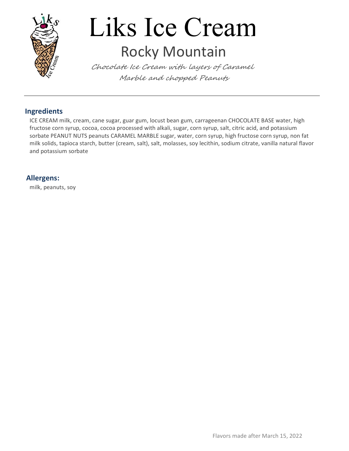

# Liks Ice Cream

### Rocky Mountain

Chocolate Ice Cream with layers of Caramel Marble and chopped Peanuts

#### Ingredients

ICE CREAM milk, cream, cane sugar, guar gum, locust bean gum, carrageenan CHOCOLATE BASE water, high fructose corn syrup, cocoa, cocoa processed with alkali, sugar, corn syrup, salt, citric acid, and potassium sorbate PEANUT NUTS peanuts CARAMEL MARBLE sugar, water, corn syrup, high fructose corn syrup, non fat milk solids, tapioca starch, butter (cream, salt), salt, molasses, soy lecithin, sodium citrate, vanilla natural flavor and potassium sorbate

#### Allergens:

milk, peanuts, soy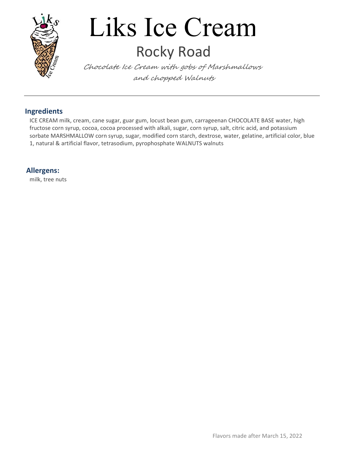

### Liks Ice Cream Rocky Road

Chocolate Ice Cream with gobs of Marshmallows and chopped Walnuts

#### Ingredients

ICE CREAM milk, cream, cane sugar, guar gum, locust bean gum, carrageenan CHOCOLATE BASE water, high fructose corn syrup, cocoa, cocoa processed with alkali, sugar, corn syrup, salt, citric acid, and potassium sorbate MARSHMALLOW corn syrup, sugar, modified corn starch, dextrose, water, gelatine, artificial color, blue 1, natural & artificial flavor, tetrasodium, pyrophosphate WALNUTS walnuts

#### Allergens:

milk, tree nuts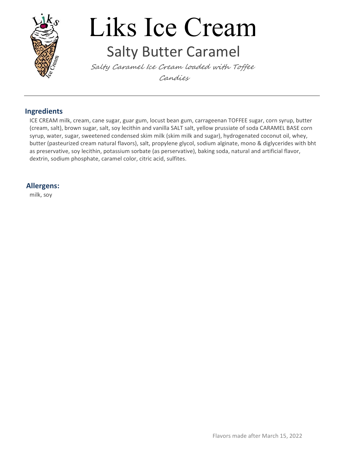

### Liks Ice Cream Salty Butter Caramel

Salty Caramel Ice Cream loaded with Toffee Candies

#### Ingredients

ICE CREAM milk, cream, cane sugar, guar gum, locust bean gum, carrageenan TOFFEE sugar, corn syrup, butter (cream, salt), brown sugar, salt, soy lecithin and vanilla SALT salt, yellow prussiate of soda CARAMEL BASE corn syrup, water, sugar, sweetened condensed skim milk (skim milk and sugar), hydrogenated coconut oil, whey, butter (pasteurized cream natural flavors), salt, propylene glycol, sodium alginate, mono & diglycerides with bht as preservative, soy lecithin, potassium sorbate (as perservative), baking soda, natural and artificial flavor, dextrin, sodium phosphate, caramel color, citric acid, sulfites.

#### Allergens:

milk, soy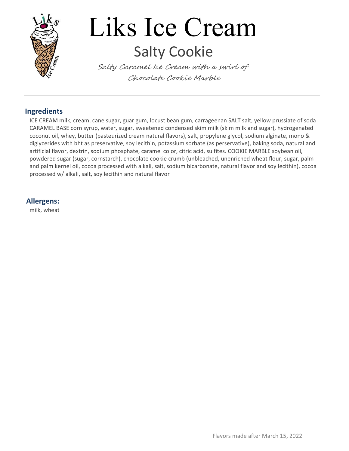

### Liks Ice Cream Salty Cookie

Salty Caramel Ice Cream with a swirl of Chocolate Cookie Marble

#### Ingredients

ICE CREAM milk, cream, cane sugar, guar gum, locust bean gum, carrageenan SALT salt, yellow prussiate of soda CARAMEL BASE corn syrup, water, sugar, sweetened condensed skim milk (skim milk and sugar), hydrogenated coconut oil, whey, butter (pasteurized cream natural flavors), salt, propylene glycol, sodium alginate, mono & diglycerides with bht as preservative, soy lecithin, potassium sorbate (as perservative), baking soda, natural and artificial flavor, dextrin, sodium phosphate, caramel color, citric acid, sulfites. COOKIE MARBLE soybean oil, powdered sugar (sugar, cornstarch), chocolate cookie crumb (unbleached, unenriched wheat flour, sugar, palm and palm kernel oil, cocoa processed with alkali, salt, sodium bicarbonate, natural flavor and soy lecithin), cocoa processed w/ alkali, salt, soy lecithin and natural flavor

#### Allergens:

milk, wheat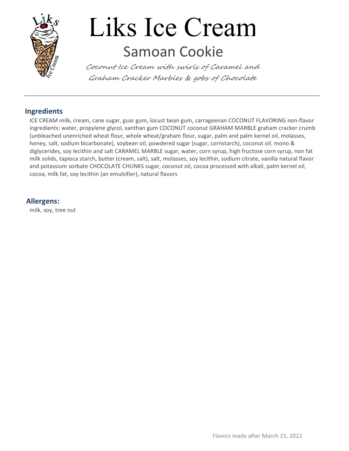

### Liks Ice Cream Samoan Cookie

Coconut Ice Cream with swirls of Caramel and Graham Cracker Marbles & gobs of Chocolate

#### Ingredients

ICE CREAM milk, cream, cane sugar, guar gum, locust bean gum, carrageenan COCONUT FLAVORING non-flavor ingredients: water, propylene glycol, xanthan gum COCONUT coconut GRAHAM MARBLE graham cracker crumb (unbleached unenriched wheat flour, whole wheat/graham flour, sugar, palm and palm kernel oil, molasses, honey, salt, sodium bicarbonate), soybean oil, powdered sugar (sugar, cornstarch), coconut oil, mono & diglycerides, soy lecithin and salt CARAMEL MARBLE sugar, water, corn syrup, high fructose corn syrup, non fat milk solids, tapioca starch, butter (cream, salt), salt, molasses, soy lecithin, sodium citrate, vanilla natural flavor and potassium sorbate CHOCOLATE CHUNKS sugar, coconut oil, cocoa processed with alkali, palm kernel oil, cocoa, milk fat, soy lecithin (an emulsifier), natural flavors

#### Allergens:

milk, soy, tree nut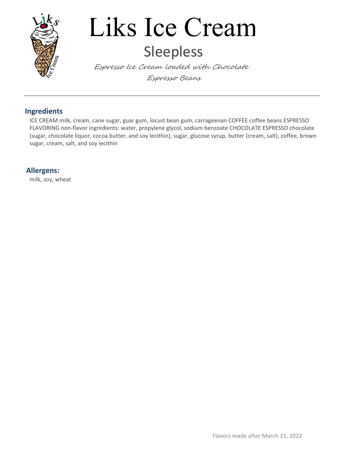

### Liks Ice Cream Sleepless

Espresso Ice Cream loaded with Chocolate Espresso Beans

#### Ingredients

ICE CREAM milk, cream, cane sugar, guar gum, locust bean gum, carrageenan COFFEE coffee beans ESPRESSO FLAVORING non-flavor ingredients: water, propylene glycol, sodium benzoate CHOCOLATE ESPRESSO chocolate (sugar, chocolate liquor, cocoa butter, and soy lecithin), sugar, glucose syrup, butter (cream, salt), coffee, brown sugar, cream, salt, and soy lecithin

#### Allergens:

milk, soy, wheat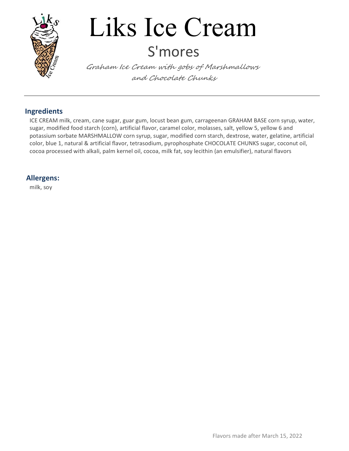

### Liks Ice Cream S'mores

Graham Ice Cream with gobs of Marshmallows and Chocolate Chunks

#### Ingredients

ICE CREAM milk, cream, cane sugar, guar gum, locust bean gum, carrageenan GRAHAM BASE corn syrup, water, sugar, modified food starch (corn), artificial flavor, caramel color, molasses, salt, yellow 5, yellow 6 and potassium sorbate MARSHMALLOW corn syrup, sugar, modified corn starch, dextrose, water, gelatine, artificial color, blue 1, natural & artificial flavor, tetrasodium, pyrophosphate CHOCOLATE CHUNKS sugar, coconut oil, cocoa processed with alkali, palm kernel oil, cocoa, milk fat, soy lecithin (an emulsifier), natural flavors

#### Allergens:

milk, soy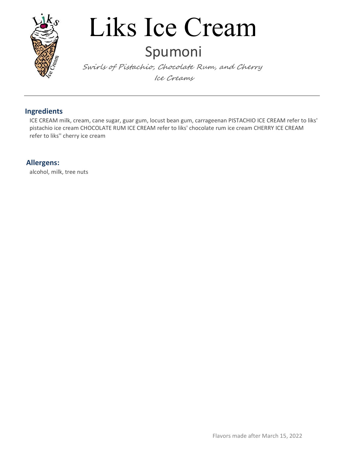

### Liks Ice Cream Spumoni

Swirls of Pistachio, Chocolate Rum, and Cherry Ice Creams

#### Ingredients

ICE CREAM milk, cream, cane sugar, guar gum, locust bean gum, carrageenan PISTACHIO ICE CREAM refer to liks' pistachio ice cream CHOCOLATE RUM ICE CREAM refer to liks' chocolate rum ice cream CHERRY ICE CREAM refer to liks'' cherry ice cream

#### Allergens:

alcohol, milk, tree nuts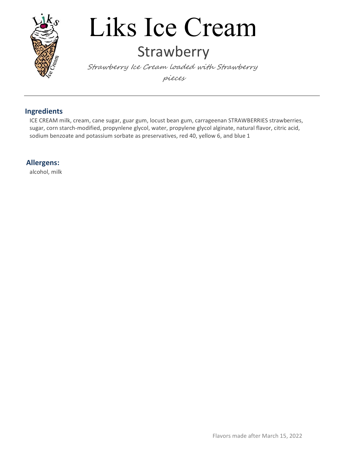

### Liks Ice Cream **Strawberry**

Strawberry Ice Cream loaded with Strawberry pieces

#### Ingredients

ICE CREAM milk, cream, cane sugar, guar gum, locust bean gum, carrageenan STRAWBERRIES strawberries, sugar, corn starch-modified, propynlene glycol, water, propylene glycol alginate, natural flavor, citric acid, sodium benzoate and potassium sorbate as preservatives, red 40, yellow 6, and blue 1

#### Allergens:

alcohol, milk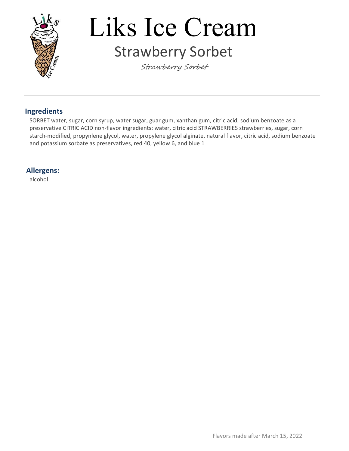

### Liks Ice Cream Strawberry Sorbet

Strawberry Sorbet

#### Ingredients

SORBET water, sugar, corn syrup, water sugar, guar gum, xanthan gum, citric acid, sodium benzoate as a preservative CITRIC ACID non-flavor ingredients: water, citric acid STRAWBERRIES strawberries, sugar, corn starch-modified, propynlene glycol, water, propylene glycol alginate, natural flavor, citric acid, sodium benzoate and potassium sorbate as preservatives, red 40, yellow 6, and blue 1

#### Allergens:

alcohol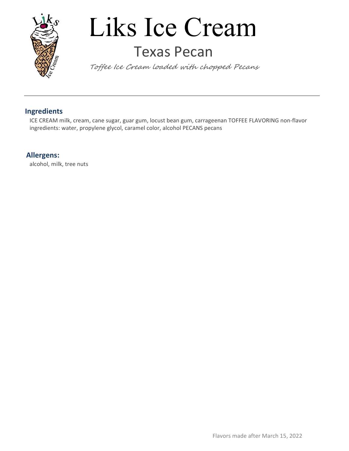

### Liks Ice Cream Texas Pecan

Toffee Ice Cream loaded with chopped Pecans

#### Ingredients

ICE CREAM milk, cream, cane sugar, guar gum, locust bean gum, carrageenan TOFFEE FLAVORING non-flavor ingredients: water, propylene glycol, caramel color, alcohol PECANS pecans

#### Allergens:

alcohol, milk, tree nuts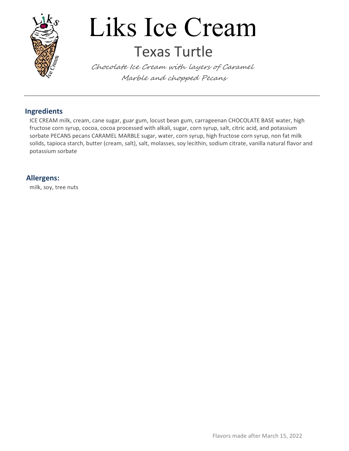

### Liks Ice Cream Texas Turtle

Chocolate Ice Cream with layers of Caramel Marble and chopped Pecans

#### Ingredients

ICE CREAM milk, cream, cane sugar, guar gum, locust bean gum, carrageenan CHOCOLATE BASE water, high fructose corn syrup, cocoa, cocoa processed with alkali, sugar, corn syrup, salt, citric acid, and potassium sorbate PECANS pecans CARAMEL MARBLE sugar, water, corn syrup, high fructose corn syrup, non fat milk solids, tapioca starch, butter (cream, salt), salt, molasses, soy lecithin, sodium citrate, vanilla natural flavor and potassium sorbate

#### Allergens:

milk, soy, tree nuts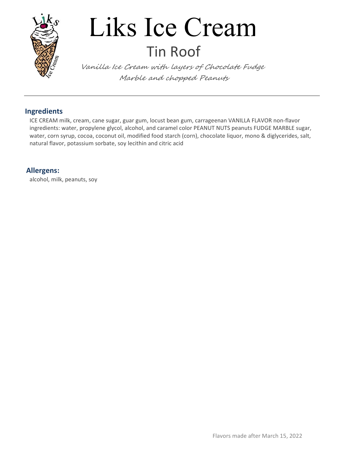

### Liks Ice Cream Tin Roof

Vanilla Ice Cream with layers of Chocolate Fudge Marble and chopped Peanuts

#### Ingredients

ICE CREAM milk, cream, cane sugar, guar gum, locust bean gum, carrageenan VANILLA FLAVOR non-flavor ingredients: water, propylene glycol, alcohol, and caramel color PEANUT NUTS peanuts FUDGE MARBLE sugar, water, corn syrup, cocoa, coconut oil, modified food starch (corn), chocolate liquor, mono & diglycerides, salt, natural flavor, potassium sorbate, soy lecithin and citric acid

#### Allergens:

alcohol, milk, peanuts, soy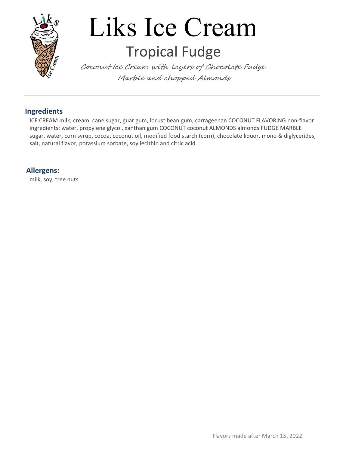

### Liks Ice Cream Tropical Fudge

Coconut Ice Cream with layers of Chocolate Fudge Marble and chopped Almonds

#### Ingredients

ICE CREAM milk, cream, cane sugar, guar gum, locust bean gum, carrageenan COCONUT FLAVORING non-flavor ingredients: water, propylene glycol, xanthan gum COCONUT coconut ALMONDS almonds FUDGE MARBLE sugar, water, corn syrup, cocoa, coconut oil, modified food starch (corn), chocolate liquor, mono & diglycerides, salt, natural flavor, potassium sorbate, soy lecithin and citric acid

#### Allergens:

milk, soy, tree nuts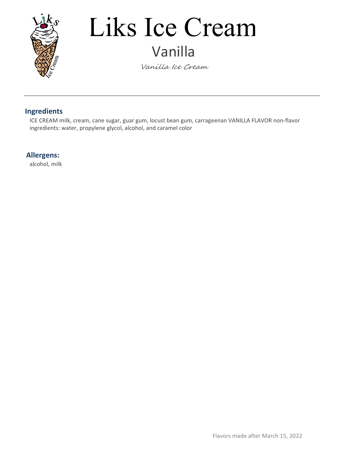

### Liks Ice Cream Vanilla

Vanilla Ice Cream

#### Ingredients

ICE CREAM milk, cream, cane sugar, guar gum, locust bean gum, carrageenan VANILLA FLAVOR non-flavor ingredients: water, propylene glycol, alcohol, and caramel color

#### Allergens:

alcohol, milk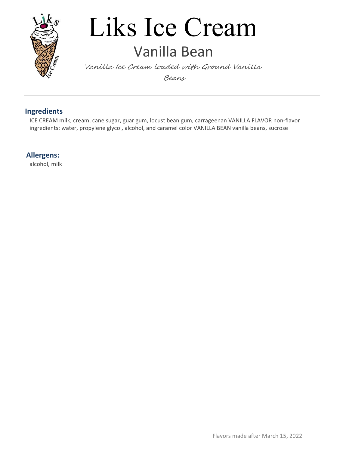

### Liks Ice Cream Vanilla Bean

Vanilla Ice Cream loaded with Ground Vanilla Beans

#### Ingredients

ICE CREAM milk, cream, cane sugar, guar gum, locust bean gum, carrageenan VANILLA FLAVOR non-flavor ingredients: water, propylene glycol, alcohol, and caramel color VANILLA BEAN vanilla beans, sucrose

Allergens:

alcohol, milk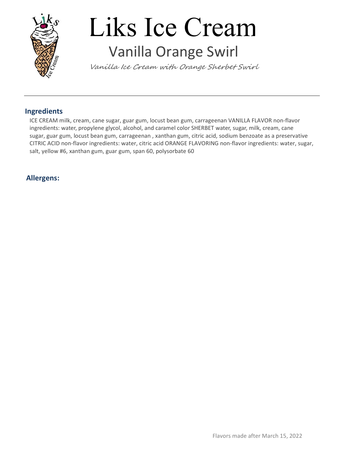

### Liks Ice Cream Vanilla Orange Swirl

Vanilla Ice Cream with Orange Sherbet Swirl

#### Ingredients

ICE CREAM milk, cream, cane sugar, guar gum, locust bean gum, carrageenan VANILLA FLAVOR non-flavor ingredients: water, propylene glycol, alcohol, and caramel color SHERBET water, sugar, milk, cream, cane sugar, guar gum, locust bean gum, carrageenan , xanthan gum, citric acid, sodium benzoate as a preservative CITRIC ACID non-flavor ingredients: water, citric acid ORANGE FLAVORING non-flavor ingredients: water, sugar, salt, yellow #6, xanthan gum, guar gum, span 60, polysorbate 60

#### Allergens: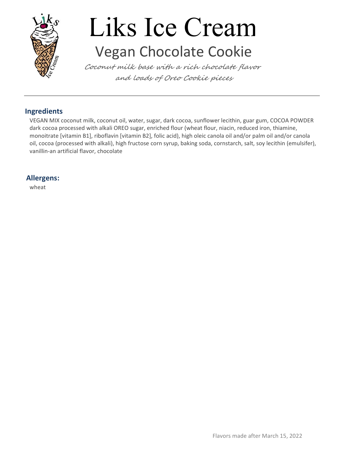

## Liks Ice Cream Vegan Chocolate Cookie

Coconut milk base with a rich chocolate flavor and loads of Oreo Cookie pieces

#### Ingredients

VEGAN MIX coconut milk, coconut oil, water, sugar, dark cocoa, sunflower lecithin, guar gum, COCOA POWDER dark cocoa processed with alkali OREO sugar, enriched flour (wheat flour, niacin, reduced iron, thiamine, monoitrate [vitamin B1], riboflavin [vitamin B2], folic acid), high oleic canola oil and/or palm oil and/or canola oil, cocoa (processed with alkali), high fructose corn syrup, baking soda, cornstarch, salt, soy lecithin (emulsifer), vanillin-an artificial flavor, chocolate

#### Allergens:

wheat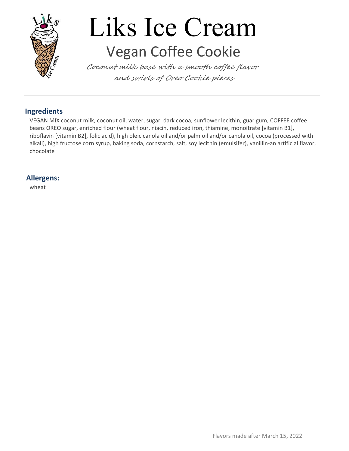

## Liks Ice Cream Vegan Coffee Cookie

Coconut milk base with a smooth coffee flavor and swirls of Oreo Cookie pieces

#### Ingredients

VEGAN MIX coconut milk, coconut oil, water, sugar, dark cocoa, sunflower lecithin, guar gum, COFFEE coffee beans OREO sugar, enriched flour (wheat flour, niacin, reduced iron, thiamine, monoitrate [vitamin B1], riboflavin [vitamin B2], folic acid), high oleic canola oil and/or palm oil and/or canola oil, cocoa (processed with alkali), high fructose corn syrup, baking soda, cornstarch, salt, soy lecithin (emulsifer), vanillin-an artificial flavor, chocolate

#### Allergens:

wheat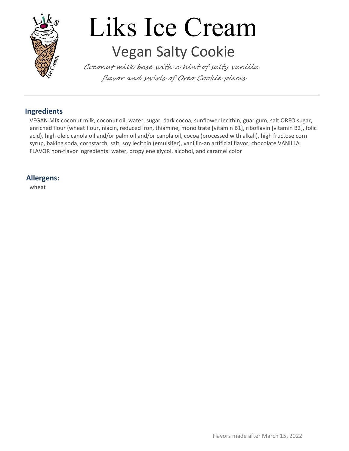

## Liks Ice Cream Vegan Salty Cookie

Coconut milk base with a hint of salty vanilla flavor and swirls of Oreo Cookie pieces

#### Ingredients

VEGAN MIX coconut milk, coconut oil, water, sugar, dark cocoa, sunflower lecithin, guar gum, salt OREO sugar, enriched flour (wheat flour, niacin, reduced iron, thiamine, monoitrate [vitamin B1], riboflavin [vitamin B2], folic acid), high oleic canola oil and/or palm oil and/or canola oil, cocoa (processed with alkali), high fructose corn syrup, baking soda, cornstarch, salt, soy lecithin (emulsifer), vanillin-an artificial flavor, chocolate VANILLA FLAVOR non-flavor ingredients: water, propylene glycol, alcohol, and caramel color

#### Allergens:

wheat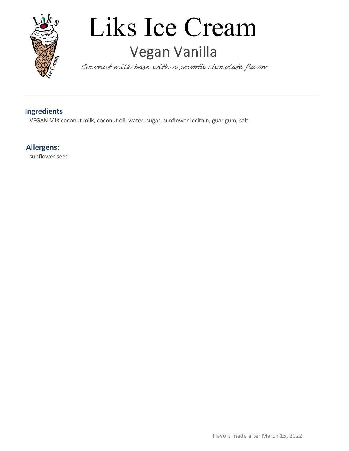

### Liks Ice Cream Vegan Vanilla

Coconut milk base with a smooth chocolate flavor

#### Ingredients

VEGAN MIX coconut milk, coconut oil, water, sugar, sunflower lecithin, guar gum, salt

#### Allergens:

sunflower seed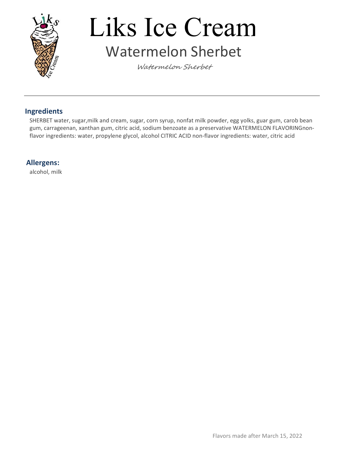

### Liks Ice Cream Watermelon Sherbet

Watermelon Sherbet

#### Ingredients

SHERBET water, sugar,milk and cream, sugar, corn syrup, nonfat milk powder, egg yolks, guar gum, carob bean gum, carrageenan, xanthan gum, citric acid, sodium benzoate as a preservative WATERMELON FLAVORINGnonflavor ingredients: water, propylene glycol, alcohol CITRIC ACID non-flavor ingredients: water, citric acid

#### Allergens:

alcohol, milk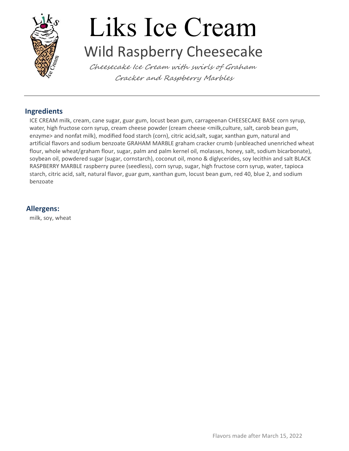

### Liks Ice Cream Wild Raspberry Cheesecake

Cheesecake Ice Cream with swirls of Graham Cracker and Raspberry Marbles

#### Ingredients

ICE CREAM milk, cream, cane sugar, guar gum, locust bean gum, carrageenan CHEESECAKE BASE corn syrup, water, high fructose corn syrup, cream cheese powder (cream cheese <milk,culture, salt, carob bean gum, enzyme> and nonfat milk), modified food starch (corn), citric acid,salt, sugar, xanthan gum, natural and artificial flavors and sodium benzoate GRAHAM MARBLE graham cracker crumb (unbleached unenriched wheat flour, whole wheat/graham flour, sugar, palm and palm kernel oil, molasses, honey, salt, sodium bicarbonate), soybean oil, powdered sugar (sugar, cornstarch), coconut oil, mono & diglycerides, soy lecithin and salt BLACK RASPBERRY MARBLE raspberry puree (seedless), corn syrup, sugar, high fructose corn syrup, water, tapioca starch, citric acid, salt, natural flavor, guar gum, xanthan gum, locust bean gum, red 40, blue 2, and sodium benzoate

#### Allergens:

milk, soy, wheat